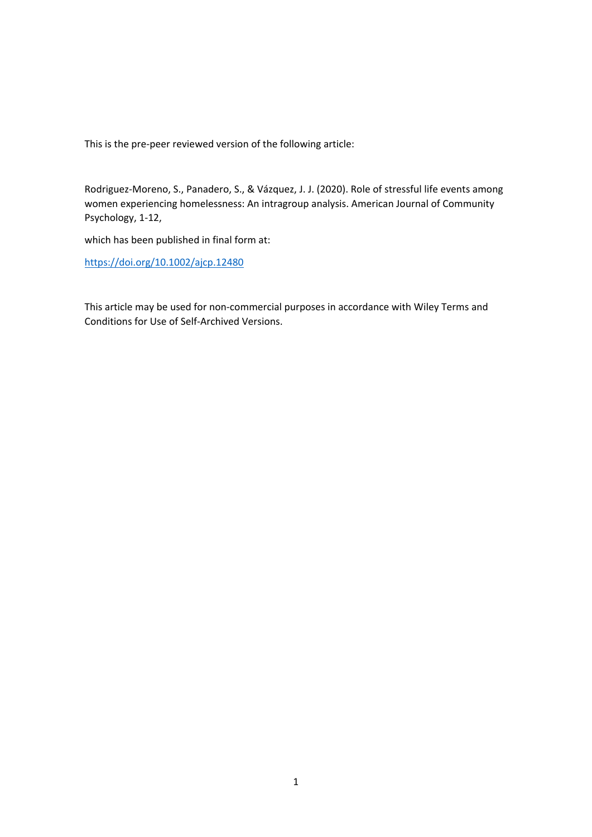This is the pre‐peer reviewed version of the following article:

Rodriguez‐Moreno, S., Panadero, S., & Vázquez, J. J. (2020). Role of stressful life events among women experiencing homelessness: An intragroup analysis. American Journal of Community Psychology, 1‐12,

which has been published in final form at:

https://doi.org/10.1002/ajcp.12480

This article may be used for non‐commercial purposes in accordance with Wiley Terms and Conditions for Use of Self‐Archived Versions.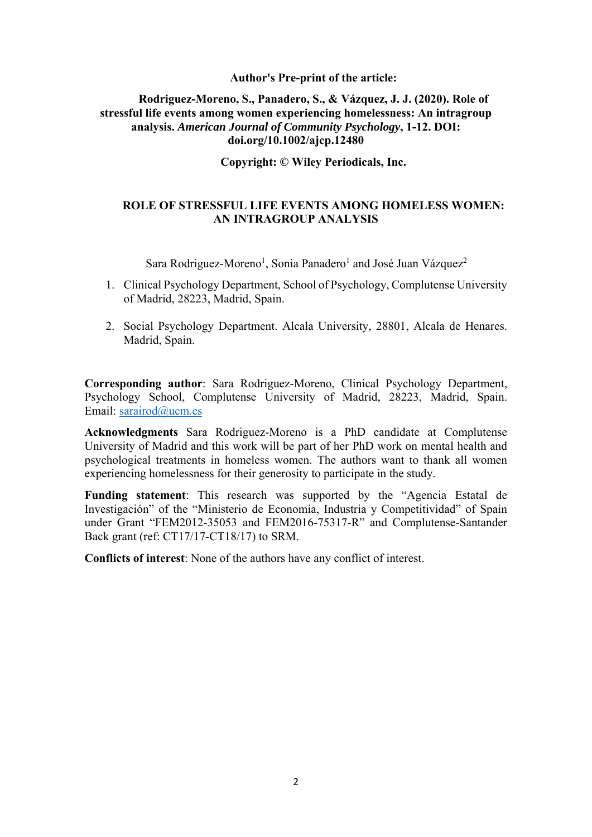# **Author's Pre-print of the article:**

# **Rodriguez-Moreno, S., Panadero, S., & Vázquez, J. J. (2020). Role of stressful life events among women experiencing homelessness: An intragroup analysis.** *American Journal of Community Psychology***, 1-12. DOI: doi.org/10.1002/ajcp.12480**

# **Copyright: © Wiley Periodicals, Inc.**

# **ROLE OF STRESSFUL LIFE EVENTS AMONG HOMELESS WOMEN: AN INTRAGROUP ANALYSIS**

Sara Rodriguez-Moreno<sup>1</sup>, Sonia Panadero<sup>1</sup> and José Juan Vázquez<sup>2</sup>

- 1. Clinical Psychology Department, School of Psychology, Complutense University of Madrid, 28223, Madrid, Spain.
- 2. Social Psychology Department. Alcala University, 28801, Alcala de Henares. Madrid, Spain.

**Corresponding author**: Sara Rodriguez-Moreno, Clinical Psychology Department, Psychology School, Complutense University of Madrid, 28223, Madrid, Spain. Email: sarairod@ucm.es

**Acknowledgments** Sara Rodriguez-Moreno is a PhD candidate at Complutense University of Madrid and this work will be part of her PhD work on mental health and psychological treatments in homeless women. The authors want to thank all women experiencing homelessness for their generosity to participate in the study.

**Funding statement**: This research was supported by the "Agencia Estatal de Investigación" of the "Ministerio de Economía, Industria y Competitividad" of Spain under Grant "FEM2012-35053 and FEM2016-75317-R" and Complutense-Santander Back grant (ref: CT17/17-CT18/17) to SRM.

**Conflicts of interest**: None of the authors have any conflict of interest.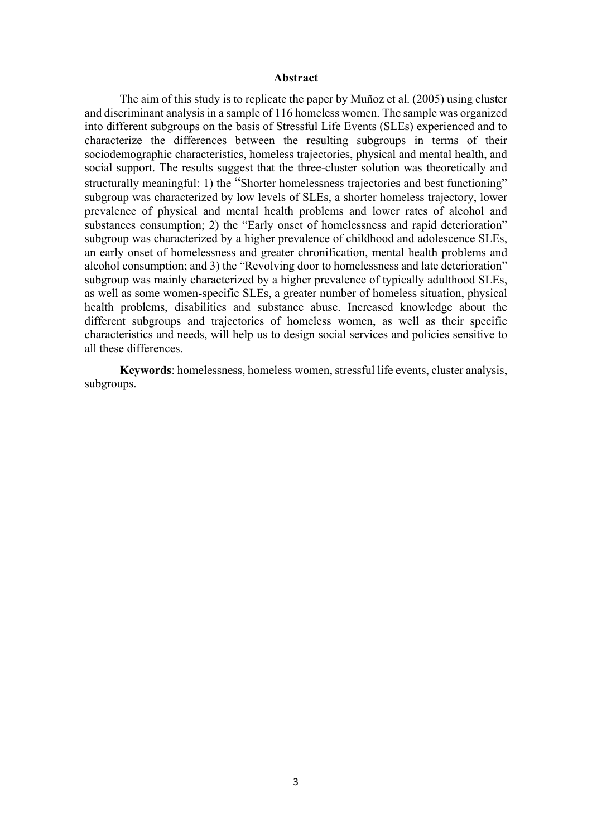#### **Abstract**

The aim of this study is to replicate the paper by Muñoz et al. (2005) using cluster and discriminant analysis in a sample of 116 homeless women. The sample was organized into different subgroups on the basis of Stressful Life Events (SLEs) experienced and to characterize the differences between the resulting subgroups in terms of their sociodemographic characteristics, homeless trajectories, physical and mental health, and social support. The results suggest that the three-cluster solution was theoretically and structurally meaningful: 1) the "Shorter homelessness trajectories and best functioning" subgroup was characterized by low levels of SLEs, a shorter homeless trajectory, lower prevalence of physical and mental health problems and lower rates of alcohol and substances consumption; 2) the "Early onset of homelessness and rapid deterioration" subgroup was characterized by a higher prevalence of childhood and adolescence SLEs, an early onset of homelessness and greater chronification, mental health problems and alcohol consumption; and 3) the "Revolving door to homelessness and late deterioration" subgroup was mainly characterized by a higher prevalence of typically adulthood SLEs, as well as some women-specific SLEs, a greater number of homeless situation, physical health problems, disabilities and substance abuse. Increased knowledge about the different subgroups and trajectories of homeless women, as well as their specific characteristics and needs, will help us to design social services and policies sensitive to all these differences.

**Keywords**: homelessness, homeless women, stressful life events, cluster analysis, subgroups.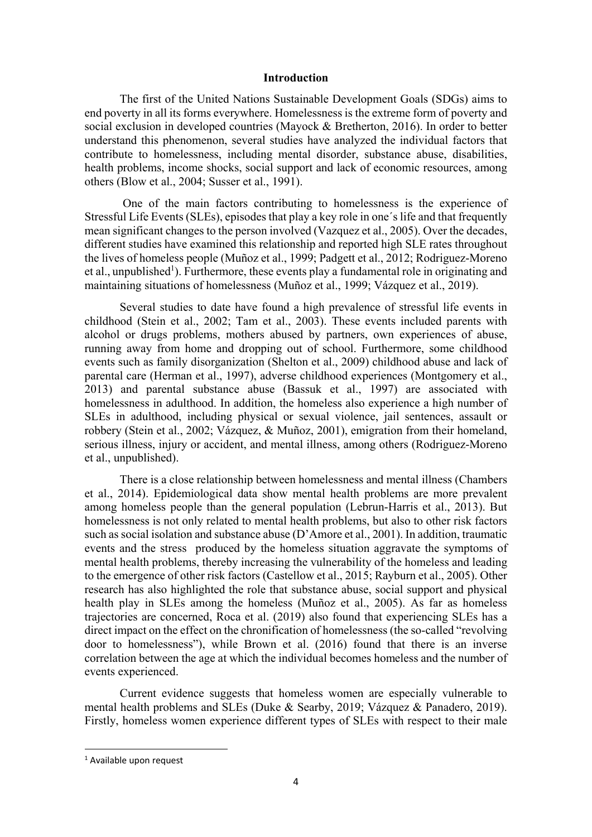# **Introduction**

The first of the United Nations Sustainable Development Goals (SDGs) aims to end poverty in all its forms everywhere. Homelessness is the extreme form of poverty and social exclusion in developed countries (Mayock & Bretherton, 2016). In order to better understand this phenomenon, several studies have analyzed the individual factors that contribute to homelessness, including mental disorder, substance abuse, disabilities, health problems, income shocks, social support and lack of economic resources, among others (Blow et al., 2004; Susser et al., 1991).

 One of the main factors contributing to homelessness is the experience of Stressful Life Events (SLEs), episodes that play a key role in one´s life and that frequently mean significant changes to the person involved (Vazquez et al., 2005). Over the decades, different studies have examined this relationship and reported high SLE rates throughout the lives of homeless people (Muñoz et al., 1999; Padgett et al., 2012; Rodriguez-Moreno et al., unpublished<sup>1</sup>). Furthermore, these events play a fundamental role in originating and maintaining situations of homelessness (Muñoz et al., 1999; Vázquez et al., 2019).

Several studies to date have found a high prevalence of stressful life events in childhood (Stein et al., 2002; Tam et al., 2003). These events included parents with alcohol or drugs problems, mothers abused by partners, own experiences of abuse, running away from home and dropping out of school. Furthermore, some childhood events such as family disorganization (Shelton et al., 2009) childhood abuse and lack of parental care (Herman et al., 1997), adverse childhood experiences (Montgomery et al., 2013) and parental substance abuse (Bassuk et al., 1997) are associated with homelessness in adulthood. In addition, the homeless also experience a high number of SLEs in adulthood, including physical or sexual violence, jail sentences, assault or robbery (Stein et al., 2002; Vázquez, & Muñoz, 2001), emigration from their homeland, serious illness, injury or accident, and mental illness, among others (Rodriguez-Moreno et al., unpublished).

There is a close relationship between homelessness and mental illness (Chambers et al., 2014). Epidemiological data show mental health problems are more prevalent among homeless people than the general population (Lebrun-Harris et al., 2013). But homelessness is not only related to mental health problems, but also to other risk factors such as social isolation and substance abuse (D'Amore et al., 2001). In addition, traumatic events and the stress produced by the homeless situation aggravate the symptoms of mental health problems, thereby increasing the vulnerability of the homeless and leading to the emergence of other risk factors (Castellow et al., 2015; Rayburn et al., 2005). Other research has also highlighted the role that substance abuse, social support and physical health play in SLEs among the homeless (Muñoz et al., 2005). As far as homeless trajectories are concerned, Roca et al. (2019) also found that experiencing SLEs has a direct impact on the effect on the chronification of homelessness (the so-called "revolving door to homelessness"), while Brown et al. (2016) found that there is an inverse correlation between the age at which the individual becomes homeless and the number of events experienced.

Current evidence suggests that homeless women are especially vulnerable to mental health problems and SLEs (Duke & Searby, 2019; Vázquez & Panadero, 2019). Firstly, homeless women experience different types of SLEs with respect to their male

<sup>&</sup>lt;sup>1</sup> Available upon request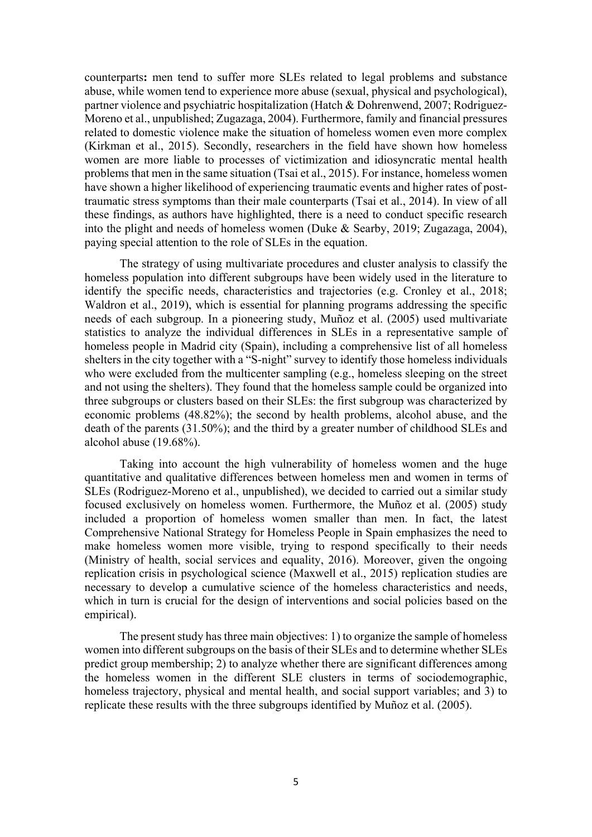counterparts**:** men tend to suffer more SLEs related to legal problems and substance abuse, while women tend to experience more abuse (sexual, physical and psychological), partner violence and psychiatric hospitalization (Hatch & Dohrenwend, 2007; Rodriguez-Moreno et al., unpublished; Zugazaga, 2004). Furthermore, family and financial pressures related to domestic violence make the situation of homeless women even more complex (Kirkman et al., 2015). Secondly, researchers in the field have shown how homeless women are more liable to processes of victimization and idiosyncratic mental health problems that men in the same situation (Tsai et al., 2015). For instance, homeless women have shown a higher likelihood of experiencing traumatic events and higher rates of posttraumatic stress symptoms than their male counterparts (Tsai et al., 2014). In view of all these findings, as authors have highlighted, there is a need to conduct specific research into the plight and needs of homeless women (Duke & Searby, 2019; Zugazaga, 2004), paying special attention to the role of SLEs in the equation.

The strategy of using multivariate procedures and cluster analysis to classify the homeless population into different subgroups have been widely used in the literature to identify the specific needs, characteristics and trajectories (e.g. Cronley et al., 2018; Waldron et al., 2019), which is essential for planning programs addressing the specific needs of each subgroup. In a pioneering study, Muñoz et al. (2005) used multivariate statistics to analyze the individual differences in SLEs in a representative sample of homeless people in Madrid city (Spain), including a comprehensive list of all homeless shelters in the city together with a "S-night" survey to identify those homeless individuals who were excluded from the multicenter sampling (e.g., homeless sleeping on the street and not using the shelters). They found that the homeless sample could be organized into three subgroups or clusters based on their SLEs: the first subgroup was characterized by economic problems (48.82%); the second by health problems, alcohol abuse, and the death of the parents (31.50%); and the third by a greater number of childhood SLEs and alcohol abuse (19.68%).

Taking into account the high vulnerability of homeless women and the huge quantitative and qualitative differences between homeless men and women in terms of SLEs (Rodriguez-Moreno et al., unpublished), we decided to carried out a similar study focused exclusively on homeless women. Furthermore, the Muñoz et al. (2005) study included a proportion of homeless women smaller than men. In fact, the latest Comprehensive National Strategy for Homeless People in Spain emphasizes the need to make homeless women more visible, trying to respond specifically to their needs (Ministry of health, social services and equality, 2016). Moreover, given the ongoing replication crisis in psychological science (Maxwell et al., 2015) replication studies are necessary to develop a cumulative science of the homeless characteristics and needs, which in turn is crucial for the design of interventions and social policies based on the empirical).

The present study has three main objectives: 1) to organize the sample of homeless women into different subgroups on the basis of their SLEs and to determine whether SLEs predict group membership; 2) to analyze whether there are significant differences among the homeless women in the different SLE clusters in terms of sociodemographic, homeless trajectory, physical and mental health, and social support variables; and 3) to replicate these results with the three subgroups identified by Muñoz et al. (2005).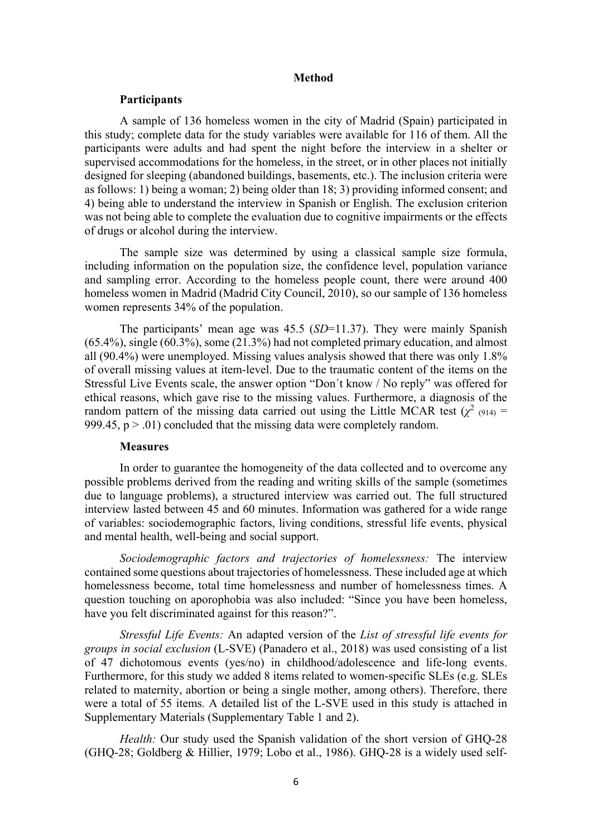#### **Method**

# **Participants**

A sample of 136 homeless women in the city of Madrid (Spain) participated in this study; complete data for the study variables were available for 116 of them. All the participants were adults and had spent the night before the interview in a shelter or supervised accommodations for the homeless, in the street, or in other places not initially designed for sleeping (abandoned buildings, basements, etc.). The inclusion criteria were as follows: 1) being a woman; 2) being older than 18; 3) providing informed consent; and 4) being able to understand the interview in Spanish or English. The exclusion criterion was not being able to complete the evaluation due to cognitive impairments or the effects of drugs or alcohol during the interview.

The sample size was determined by using a classical sample size formula, including information on the population size, the confidence level, population variance and sampling error. According to the homeless people count, there were around 400 homeless women in Madrid (Madrid City Council, 2010), so our sample of 136 homeless women represents 34% of the population.

The participants' mean age was 45.5 (*SD*=11.37). They were mainly Spanish (65.4%), single (60.3%), some (21.3%) had not completed primary education, and almost all (90.4%) were unemployed. Missing values analysis showed that there was only 1.8% of overall missing values at item-level. Due to the traumatic content of the items on the Stressful Live Events scale, the answer option "Don´t know / No reply" was offered for ethical reasons, which gave rise to the missing values. Furthermore, a diagnosis of the random pattern of the missing data carried out using the Little MCAR test ( $\chi^2$  (914) = 999.45,  $p > .01$ ) concluded that the missing data were completely random.

#### **Measures**

In order to guarantee the homogeneity of the data collected and to overcome any possible problems derived from the reading and writing skills of the sample (sometimes due to language problems), a structured interview was carried out. The full structured interview lasted between 45 and 60 minutes. Information was gathered for a wide range of variables: sociodemographic factors, living conditions, stressful life events, physical and mental health, well-being and social support.

*Sociodemographic factors and trajectories of homelessness:* The interview contained some questions about trajectories of homelessness. These included age at which homelessness become, total time homelessness and number of homelessness times. A question touching on aporophobia was also included: "Since you have been homeless, have you felt discriminated against for this reason?".

*Stressful Life Events:* An adapted version of the *List of stressful life events for groups in social exclusion* (L-SVE) (Panadero et al., 2018) was used consisting of a list of 47 dichotomous events (yes/no) in childhood/adolescence and life-long events. Furthermore, for this study we added 8 items related to women-specific SLEs (e.g. SLEs related to maternity, abortion or being a single mother, among others). Therefore, there were a total of 55 items. A detailed list of the L-SVE used in this study is attached in Supplementary Materials (Supplementary Table 1 and 2).

*Health:* Our study used the Spanish validation of the short version of GHQ-28 (GHQ-28; Goldberg & Hillier, 1979; Lobo et al., 1986). GHQ-28 is a widely used self-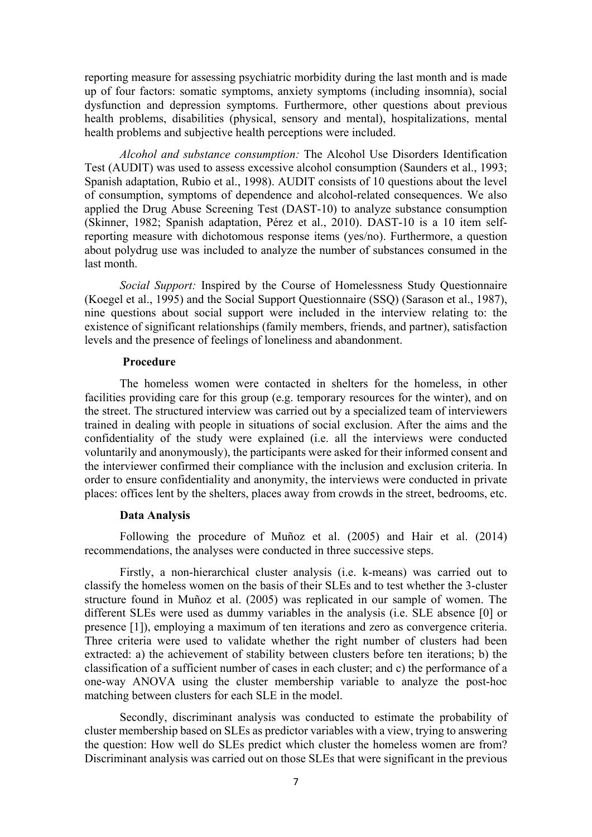reporting measure for assessing psychiatric morbidity during the last month and is made up of four factors: somatic symptoms, anxiety symptoms (including insomnia), social dysfunction and depression symptoms. Furthermore, other questions about previous health problems, disabilities (physical, sensory and mental), hospitalizations, mental health problems and subjective health perceptions were included.

*Alcohol and substance consumption:* The Alcohol Use Disorders Identification Test (AUDIT) was used to assess excessive alcohol consumption (Saunders et al., 1993; Spanish adaptation, Rubio et al., 1998). AUDIT consists of 10 questions about the level of consumption, symptoms of dependence and alcohol-related consequences. We also applied the Drug Abuse Screening Test (DAST-10) to analyze substance consumption (Skinner, 1982; Spanish adaptation, Pérez et al., 2010). DAST-10 is a 10 item selfreporting measure with dichotomous response items (yes/no). Furthermore, a question about polydrug use was included to analyze the number of substances consumed in the last month.

*Social Support:* Inspired by the Course of Homelessness Study Questionnaire (Koegel et al., 1995) and the Social Support Questionnaire (SSQ) (Sarason et al., 1987), nine questions about social support were included in the interview relating to: the existence of significant relationships (family members, friends, and partner), satisfaction levels and the presence of feelings of loneliness and abandonment.

# **Procedure**

The homeless women were contacted in shelters for the homeless, in other facilities providing care for this group (e.g. temporary resources for the winter), and on the street. The structured interview was carried out by a specialized team of interviewers trained in dealing with people in situations of social exclusion. After the aims and the confidentiality of the study were explained (i.e. all the interviews were conducted voluntarily and anonymously), the participants were asked for their informed consent and the interviewer confirmed their compliance with the inclusion and exclusion criteria. In order to ensure confidentiality and anonymity, the interviews were conducted in private places: offices lent by the shelters, places away from crowds in the street, bedrooms, etc.

# **Data Analysis**

Following the procedure of Muñoz et al. (2005) and Hair et al. (2014) recommendations, the analyses were conducted in three successive steps.

Firstly, a non-hierarchical cluster analysis (i.e. k-means) was carried out to classify the homeless women on the basis of their SLEs and to test whether the 3-cluster structure found in Muñoz et al. (2005) was replicated in our sample of women. The different SLEs were used as dummy variables in the analysis (i.e. SLE absence [0] or presence [1]), employing a maximum of ten iterations and zero as convergence criteria. Three criteria were used to validate whether the right number of clusters had been extracted: a) the achievement of stability between clusters before ten iterations; b) the classification of a sufficient number of cases in each cluster; and c) the performance of a one-way ANOVA using the cluster membership variable to analyze the post-hoc matching between clusters for each SLE in the model.

Secondly, discriminant analysis was conducted to estimate the probability of cluster membership based on SLEs as predictor variables with a view, trying to answering the question: How well do SLEs predict which cluster the homeless women are from? Discriminant analysis was carried out on those SLEs that were significant in the previous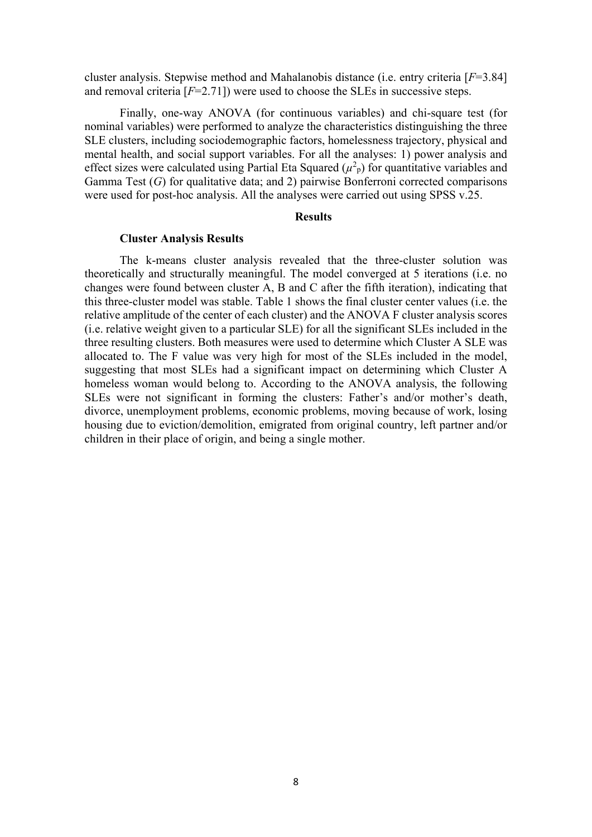cluster analysis. Stepwise method and Mahalanobis distance (i.e. entry criteria [*F*=3.84] and removal criteria  $[F=2.71]$ ) were used to choose the SLEs in successive steps.

Finally, one-way ANOVA (for continuous variables) and chi-square test (for nominal variables) were performed to analyze the characteristics distinguishing the three SLE clusters, including sociodemographic factors, homelessness trajectory, physical and mental health, and social support variables. For all the analyses: 1) power analysis and effect sizes were calculated using Partial Eta Squared  $(\mu^2$ <sub>p</sub>) for quantitative variables and Gamma Test (*G*) for qualitative data; and 2) pairwise Bonferroni corrected comparisons were used for post-hoc analysis. All the analyses were carried out using SPSS v.25.

# **Results**

# **Cluster Analysis Results**

The k-means cluster analysis revealed that the three-cluster solution was theoretically and structurally meaningful. The model converged at 5 iterations (i.e. no changes were found between cluster A, B and C after the fifth iteration), indicating that this three-cluster model was stable. Table 1 shows the final cluster center values (i.e. the relative amplitude of the center of each cluster) and the ANOVA F cluster analysis scores (i.e. relative weight given to a particular SLE) for all the significant SLEs included in the three resulting clusters. Both measures were used to determine which Cluster A SLE was allocated to. The F value was very high for most of the SLEs included in the model, suggesting that most SLEs had a significant impact on determining which Cluster A homeless woman would belong to. According to the ANOVA analysis, the following SLEs were not significant in forming the clusters: Father's and/or mother's death, divorce, unemployment problems, economic problems, moving because of work, losing housing due to eviction/demolition, emigrated from original country, left partner and/or children in their place of origin, and being a single mother.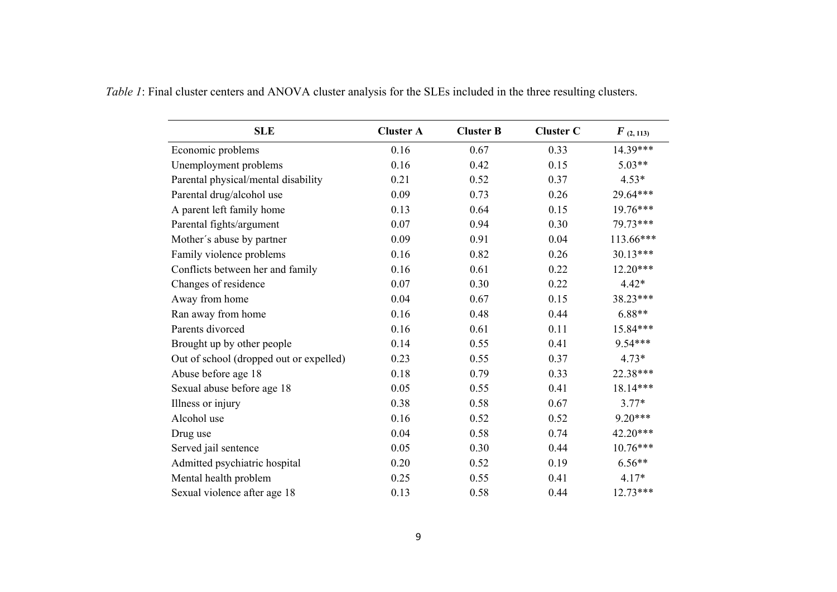| <b>SLE</b>                              | <b>Cluster A</b> | <b>Cluster B</b> | <b>Cluster C</b> | $F_{(2, 113)}$ |
|-----------------------------------------|------------------|------------------|------------------|----------------|
| Economic problems                       | 0.16             | 0.67             | 0.33             | 14.39***       |
| Unemployment problems                   | 0.16             | 0.42             | 0.15             | $5.03**$       |
| Parental physical/mental disability     | 0.21             | 0.52             | 0.37             | $4.53*$        |
| Parental drug/alcohol use               | 0.09             | 0.73             | 0.26             | 29.64***       |
| A parent left family home               | 0.13             | 0.64             | 0.15             | 19.76***       |
| Parental fights/argument                | 0.07             | 0.94             | 0.30             | 79.73***       |
| Mother's abuse by partner               | 0.09             | 0.91             | 0.04             | 113.66***      |
| Family violence problems                | 0.16             | 0.82             | 0.26             | $30.13***$     |
| Conflicts between her and family        | 0.16             | 0.61             | 0.22             | $12.20***$     |
| Changes of residence                    | 0.07             | 0.30             | 0.22             | $4.42*$        |
| Away from home                          | 0.04             | 0.67             | 0.15             | 38.23***       |
| Ran away from home                      | 0.16             | 0.48             | 0.44             | $6.88**$       |
| Parents divorced                        | 0.16             | 0.61             | 0.11             | 15.84***       |
| Brought up by other people              | 0.14             | 0.55             | 0.41             | 9.54***        |
| Out of school (dropped out or expelled) | 0.23             | 0.55             | 0.37             | $4.73*$        |
| Abuse before age 18                     | 0.18             | 0.79             | 0.33             | 22.38***       |
| Sexual abuse before age 18              | 0.05             | 0.55             | 0.41             | 18.14***       |
| Illness or injury                       | 0.38             | 0.58             | 0.67             | $3.77*$        |
| Alcohol use                             | 0.16             | 0.52             | 0.52             | $9.20***$      |
| Drug use                                | 0.04             | 0.58             | 0.74             | 42.20***       |
| Served jail sentence                    | 0.05             | 0.30             | 0.44             | $10.76***$     |
| Admitted psychiatric hospital           | 0.20             | 0.52             | 0.19             | $6.56**$       |
| Mental health problem                   | 0.25             | 0.55             | 0.41             | $4.17*$        |
| Sexual violence after age 18            | 0.13             | 0.58             | 0.44             | $12.73***$     |

*Table 1*: Final cluster centers and ANOVA cluster analysis for the SLEs included in the three resulting clusters.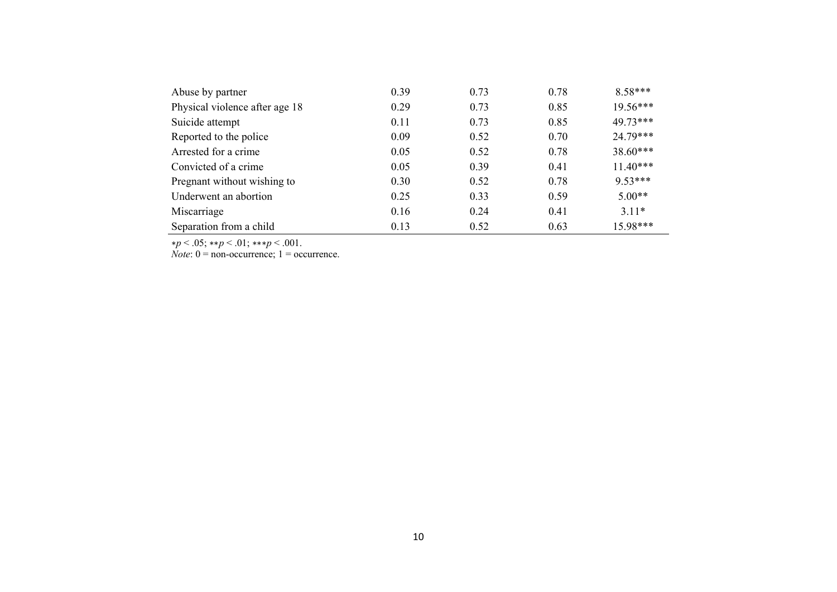| Abuse by partner               | 0.39 | 0.73 | 0.78 | $8.58***$  |
|--------------------------------|------|------|------|------------|
| Physical violence after age 18 | 0.29 | 0.73 | 0.85 | $19.56***$ |
| Suicide attempt                | 0.11 | 0.73 | 0.85 | 49.73***   |
| Reported to the police         | 0.09 | 0.52 | 0.70 | 24.79***   |
| Arrested for a crime           | 0.05 | 0.52 | 0.78 | $38.60***$ |
| Convicted of a crime           | 0.05 | 0.39 | 0.41 | $11.40***$ |
| Pregnant without wishing to    | 0.30 | 0.52 | 0.78 | $9.53***$  |
| Underwent an abortion          | 0.25 | 0.33 | 0.59 | $5.00**$   |
| Miscarriage                    | 0.16 | 0.24 | 0.41 | $3.11*$    |
| Separation from a child        | 0.13 | 0.52 | 0.63 | 15.98***   |

<sup>∗</sup>*p* < .05; ∗∗*p* < .01; ∗∗∗*p* < .001.

*Note*:  $0 =$  non-occurrence;  $1 =$  occurrence.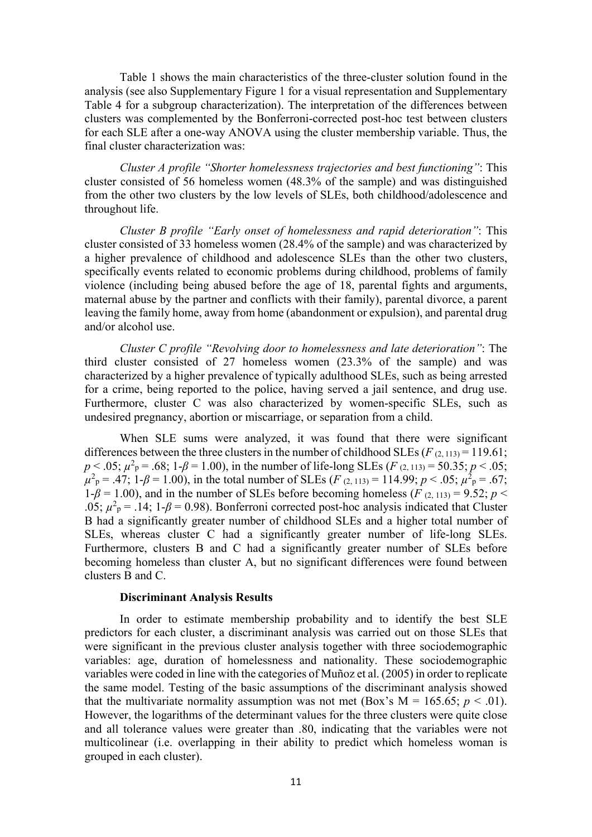Table 1 shows the main characteristics of the three-cluster solution found in the analysis (see also Supplementary Figure 1 for a visual representation and Supplementary Table 4 for a subgroup characterization). The interpretation of the differences between clusters was complemented by the Bonferroni-corrected post-hoc test between clusters for each SLE after a one-way ANOVA using the cluster membership variable. Thus, the final cluster characterization was:

*Cluster A profile "Shorter homelessness trajectories and best functioning"*: This cluster consisted of 56 homeless women (48.3% of the sample) and was distinguished from the other two clusters by the low levels of SLEs, both childhood/adolescence and throughout life.

*Cluster B profile "Early onset of homelessness and rapid deterioration"*: This cluster consisted of 33 homeless women (28.4% of the sample) and was characterized by a higher prevalence of childhood and adolescence SLEs than the other two clusters, specifically events related to economic problems during childhood, problems of family violence (including being abused before the age of 18, parental fights and arguments, maternal abuse by the partner and conflicts with their family), parental divorce, a parent leaving the family home, away from home (abandonment or expulsion), and parental drug and/or alcohol use.

*Cluster C profile "Revolving door to homelessness and late deterioration"*: The third cluster consisted of 27 homeless women (23.3% of the sample) and was characterized by a higher prevalence of typically adulthood SLEs, such as being arrested for a crime, being reported to the police, having served a jail sentence, and drug use. Furthermore, cluster C was also characterized by women-specific SLEs, such as undesired pregnancy, abortion or miscarriage, or separation from a child.

When SLE sums were analyzed, it was found that there were significant differences between the three clusters in the number of childhood SLEs  $(F_{(2,113)} = 119.61;$  $p < .05$ ;  $\mu^2$ <sub>P</sub> = .68; 1- $\beta$  = 1.00), in the number of life-long SLEs (*F* (2, 113) = 50.35; *p* < .05;  $\mu^2$ <sub>p</sub> = .47; 1-*β* = 1.00), in the total number of SLEs (*F* (2, 113) = 114.99; *p* < .05;  $\mu^2$ <sub>p</sub> = .67;  $1-\beta = 1.00$ ), and in the number of SLEs before becoming homeless (*F* (2, 113) = 9.52; *p* < .05;  $\mu^2$ <sub>p</sub> = .14; 1- $\beta$  = 0.98). Bonferroni corrected post-hoc analysis indicated that Cluster B had a significantly greater number of childhood SLEs and a higher total number of SLEs, whereas cluster C had a significantly greater number of life-long SLEs. Furthermore, clusters B and C had a significantly greater number of SLEs before becoming homeless than cluster A, but no significant differences were found between clusters B and C.

# **Discriminant Analysis Results**

In order to estimate membership probability and to identify the best SLE predictors for each cluster, a discriminant analysis was carried out on those SLEs that were significant in the previous cluster analysis together with three sociodemographic variables: age, duration of homelessness and nationality. These sociodemographic variables were coded in line with the categories of Muñoz et al. (2005) in order to replicate the same model. Testing of the basic assumptions of the discriminant analysis showed that the multivariate normality assumption was not met (Box's  $M = 165.65$ ;  $p < .01$ ). However, the logarithms of the determinant values for the three clusters were quite close and all tolerance values were greater than .80, indicating that the variables were not multicolinear (i.e. overlapping in their ability to predict which homeless woman is grouped in each cluster).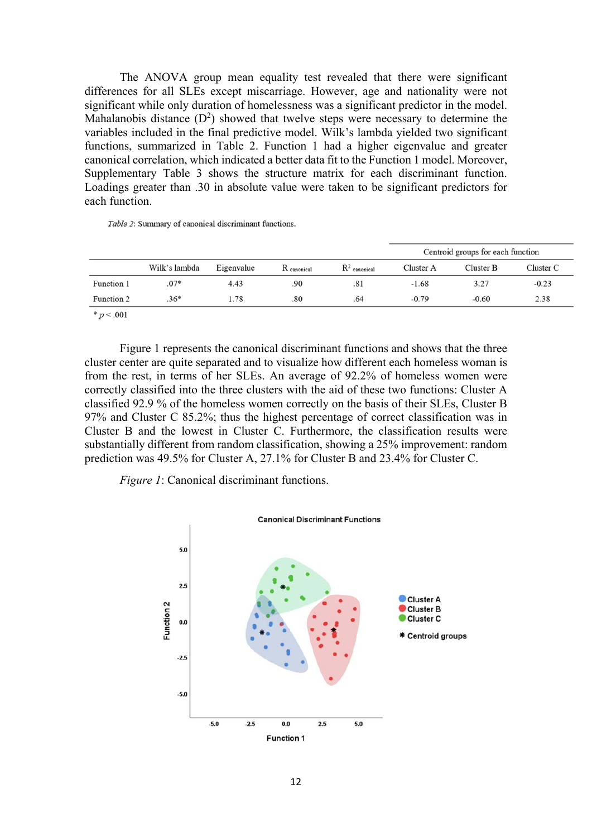The ANOVA group mean equality test revealed that there were significant differences for all SLEs except miscarriage. However, age and nationality were not significant while only duration of homelessness was a significant predictor in the model. Mahalanobis distance  $(D^2)$  showed that twelve steps were necessary to determine the variables included in the final predictive model. Wilk's lambda yielded two significant functions, summarized in Table 2. Function 1 had a higher eigenvalue and greater canonical correlation, which indicated a better data fit to the Function 1 model. Moreover, Supplementary Table 3 shows the structure matrix for each discriminant function. Loadings greater than .30 in absolute value were taken to be significant predictors for each function.

Table 2: Summary of canonical discriminant functions.

|            |               |            |             |                          | Centroid groups for each function |           |           |
|------------|---------------|------------|-------------|--------------------------|-----------------------------------|-----------|-----------|
|            | Wilk's lambda | Eigenvalue | R canonical | $\mathbb{R}^2$ canonical | Cluster A                         | Cluster B | Cluster C |
| Function 1 | $.07*$        | 4.43       | .90         | .81                      | $-1.68$                           | 3.27      | $-0.23$   |
| Function 2 | $.36*$        | 1.78       | .80         | .64                      | $-0.79$                           | $-0.60$   | 2.38      |

\*  $p < .001$ 

Figure 1 represents the canonical discriminant functions and shows that the three cluster center are quite separated and to visualize how different each homeless woman is from the rest, in terms of her SLEs. An average of 92.2% of homeless women were correctly classified into the three clusters with the aid of these two functions: Cluster A classified 92.9 % of the homeless women correctly on the basis of their SLEs, Cluster B 97% and Cluster C 85.2%; thus the highest percentage of correct classification was in Cluster B and the lowest in Cluster C. Furthermore, the classification results were substantially different from random classification, showing a 25% improvement: random prediction was 49.5% for Cluster A, 27.1% for Cluster B and 23.4% for Cluster C.

*Figure 1*: Canonical discriminant functions.

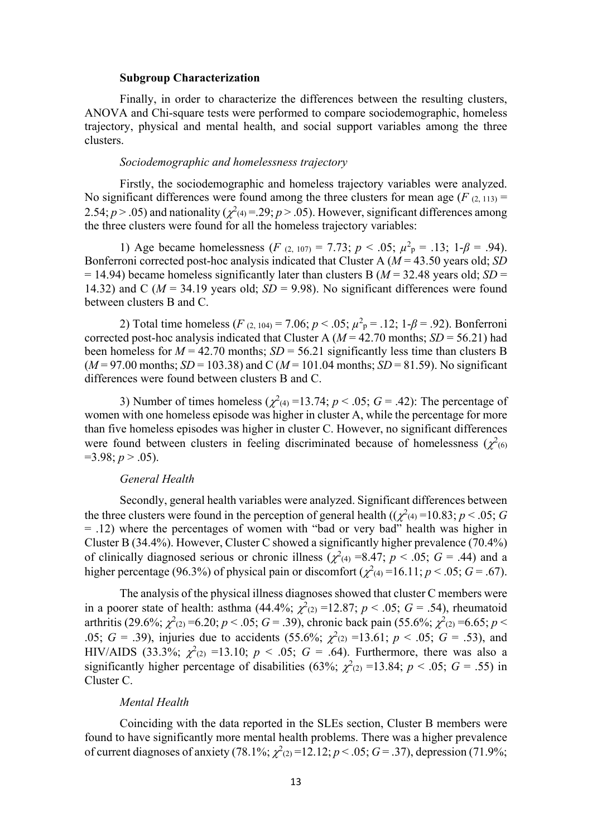#### **Subgroup Characterization**

Finally, in order to characterize the differences between the resulting clusters, ANOVA and Chi-square tests were performed to compare sociodemographic, homeless trajectory, physical and mental health, and social support variables among the three clusters.

# *Sociodemographic and homelessness trajectory*

Firstly, the sociodemographic and homeless trajectory variables were analyzed. No significant differences were found among the three clusters for mean age  $(F_{(2, 113)} =$ 2.54;  $p > .05$ ) and nationality ( $\chi^2(4) = .29$ ;  $p > .05$ ). However, significant differences among the three clusters were found for all the homeless trajectory variables:

1) Age became homelessness (*F* (2, 107) = 7.73;  $p < .05$ ;  $\mu^2$ <sub>p</sub> = .13; 1- $\beta$  = .94). Bonferroni corrected post-hoc analysis indicated that Cluster A (*M* = 43.50 years old; *SD*  $= 14.94$ ) became homeless significantly later than clusters B ( $M = 32.48$  years old; *SD* = 14.32) and C ( $M = 34.19$  years old;  $SD = 9.98$ ). No significant differences were found between clusters B and C.

2) Total time homeless ( $F_{(2, 104)} = 7.06$ ;  $p < .05$ ;  $\mu^2$ <sub>p</sub> = .12; 1- $\beta$  = .92). Bonferroni corrected post-hoc analysis indicated that Cluster A ( $M = 42.70$  months;  $SD = 56.21$ ) had been homeless for  $M = 42.70$  months;  $SD = 56.21$  significantly less time than clusters B  $(M=97.00 \text{ months}; SD = 103.38)$  and C  $(M=101.04 \text{ months}; SD = 81.59)$ . No significant differences were found between clusters B and C.

3) Number of times homeless  $(\chi^2(4) = 13.74; p < .05; G = .42)$ : The percentage of women with one homeless episode was higher in cluster A, while the percentage for more than five homeless episodes was higher in cluster C. However, no significant differences were found between clusters in feeling discriminated because of homelessness  $(\chi^2)_{(6)}$  $=3.98; p > .05$ ).

# *General Health*

Secondly, general health variables were analyzed. Significant differences between the three clusters were found in the perception of general health  $((\chi^2)_{4}) = 10.83; p < .05; G$ = .12) where the percentages of women with "bad or very bad" health was higher in Cluster B (34.4%). However, Cluster C showed a significantly higher prevalence (70.4%) of clinically diagnosed serious or chronic illness ( $\chi^2$ <sub>(4)</sub> =8.47; *p* < .05; *G* = .44) and a higher percentage (96.3%) of physical pain or discomfort ( $\chi^2$ <sub>(4)</sub> = 16.11; *p* < .05; *G* = .67).

The analysis of the physical illness diagnoses showed that cluster C members were in a poorer state of health: asthma (44.4%;  $\chi^2(z) = 12.87$ ;  $p < .05$ ;  $G = .54$ ), rheumatoid arthritis (29.6%;  $\chi^2$ <sub>(2)</sub> = 6.20; *p* < .05; *G* = .39), chronic back pain (55.6%;  $\chi^2$ <sub>(2)</sub> = 6.65; *p* < 05;  $G = 0.39$ , injuries due to accidents (55.6%;  $\chi^2(2) = 13.61$ ;  $p < 0.05$ ;  $G = 0.53$ ), and HIV/AIDS (33.3%;  $\chi^2(2) = 13.10$ ;  $p < .05$ ;  $G = .64$ ). Furthermore, there was also a significantly higher percentage of disabilities (63%;  $\chi^2(z)$  =13.84;  $p < .05$ ;  $G = .55$ ) in Cluster C.

# *Mental Health*

Coinciding with the data reported in the SLEs section, Cluster B members were found to have significantly more mental health problems. There was a higher prevalence of current diagnoses of anxiety (78.1%;  $\chi^2(z) = 12.12$ ;  $p < .05$ ;  $G = .37$ ), depression (71.9%;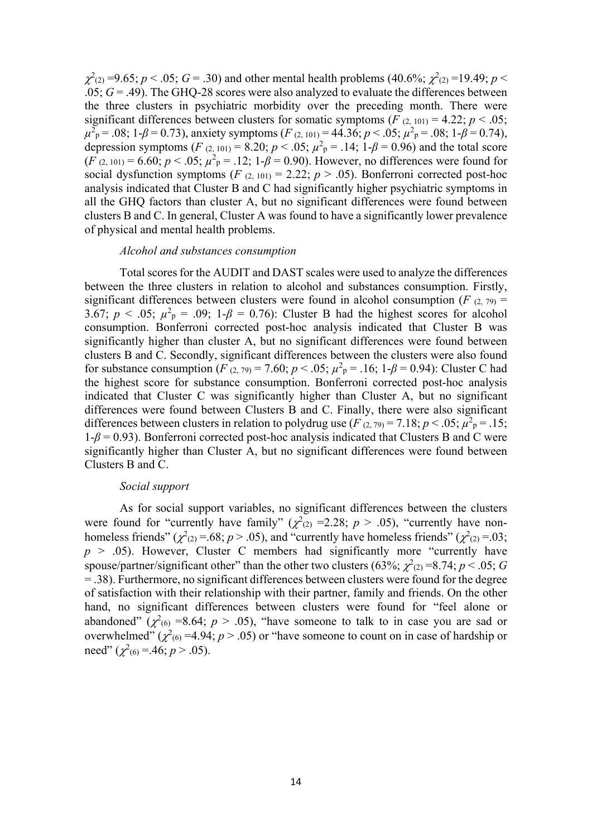$\chi^2$ <sub>(2)</sub> =9.65; *p* < .05; *G* = .30) and other mental health problems (40.6%;  $\chi^2$ <sub>(2)</sub> =19.49; *p* <  $.05; G = .49$ ). The GHQ-28 scores were also analyzed to evaluate the differences between the three clusters in psychiatric morbidity over the preceding month. There were significant differences between clusters for somatic symptoms ( $F_{(2, 101)} = 4.22$ ;  $p < .05$ ;  $\mu^2$ <sub>P</sub> = .08; 1-*β* = 0.73), anxiety symptoms (*F* (2, 101) = 44.36; *p* < .05;  $\mu^2$ <sub>P</sub> = .08; 1-*β* = 0.74), depression symptoms (*F* (2, 101) = 8.20;  $p < .05$ ;  $\mu^2$ <sub>P</sub> = .14; 1- $\beta$  = 0.96) and the total score  $(F (2, 101) = 6.60; p < .05; \mu^2$ <sub>P</sub> = .12; 1- $\beta$  = 0.90). However, no differences were found for social dysfunction symptoms  $(F (2, 101) = 2.22; p > .05)$ . Bonferroni corrected post-hoc analysis indicated that Cluster B and C had significantly higher psychiatric symptoms in all the GHQ factors than cluster A, but no significant differences were found between clusters B and C. In general, Cluster A was found to have a significantly lower prevalence of physical and mental health problems.

#### *Alcohol and substances consumption*

Total scores for the AUDIT and DAST scales were used to analyze the differences between the three clusters in relation to alcohol and substances consumption. Firstly, significant differences between clusters were found in alcohol consumption ( $F(2, 79)$ ) = 3.67;  $p < .05$ ;  $\mu^2$ <sub>p</sub> = .09; 1- $\beta$  = 0.76): Cluster B had the highest scores for alcohol consumption. Bonferroni corrected post-hoc analysis indicated that Cluster B was significantly higher than cluster A, but no significant differences were found between clusters B and C. Secondly, significant differences between the clusters were also found for substance consumption (*F* (2, 79) = 7.60;  $p < .05$ ;  $\mu^2$ <sub>P</sub> = .16; 1- $\beta$  = 0.94): Cluster C had the highest score for substance consumption. Bonferroni corrected post-hoc analysis indicated that Cluster C was significantly higher than Cluster A, but no significant differences were found between Clusters B and C. Finally, there were also significant differences between clusters in relation to polydrug use  $(F (2, 79) = 7.18; p < .05; \mu^2_p = .15;$  $1-\beta = 0.93$ ). Bonferroni corrected post-hoc analysis indicated that Clusters B and C were significantly higher than Cluster A, but no significant differences were found between Clusters B and C.

# *Social support*

As for social support variables, no significant differences between the clusters were found for "currently have family" ( $\chi^2$ <sub>(2)</sub> = 2.28; *p* > .05), "currently have nonhomeless friends" ( $\chi^2$ <sub>(2)</sub> = .68; *p* > .05), and "currently have homeless friends" ( $\chi^2$ <sub>(2)</sub> = .03;  $p > .05$ ). However, Cluster C members had significantly more "currently have spouse/partner/significant other" than the other two clusters (63%;  $\chi^2_{(2)} = 8.74$ ;  $p < .05$ ; *G* = .38). Furthermore, no significant differences between clusters were found for the degree of satisfaction with their relationship with their partner, family and friends. On the other hand, no significant differences between clusters were found for "feel alone or abandoned" ( $\chi^2$ <sub>(6)</sub> =8.64; *p* > .05), "have someone to talk to in case you are sad or overwhelmed"  $(\chi^2(6) = 4.94; p > .05)$  or "have someone to count on in case of hardship or need"  $(\chi^2_{(6)} = .46; p > .05)$ .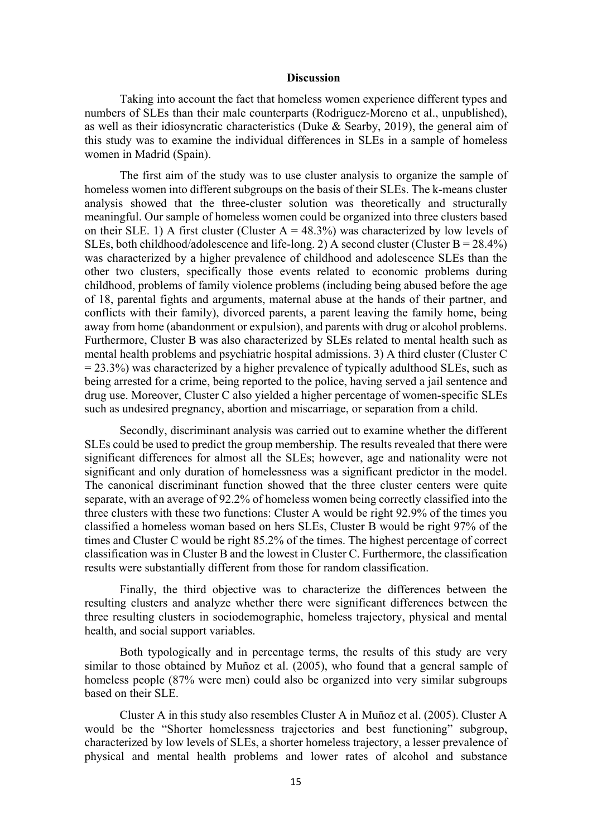# **Discussion**

Taking into account the fact that homeless women experience different types and numbers of SLEs than their male counterparts (Rodriguez-Moreno et al., unpublished), as well as their idiosyncratic characteristics (Duke  $\&$  Searby, 2019), the general aim of this study was to examine the individual differences in SLEs in a sample of homeless women in Madrid (Spain).

The first aim of the study was to use cluster analysis to organize the sample of homeless women into different subgroups on the basis of their SLEs. The k-means cluster analysis showed that the three-cluster solution was theoretically and structurally meaningful. Our sample of homeless women could be organized into three clusters based on their SLE. 1) A first cluster (Cluster  $A = 48.3\%$ ) was characterized by low levels of SLEs, both childhood/adolescence and life-long. 2) A second cluster (Cluster  $B = 28.4\%$ ) was characterized by a higher prevalence of childhood and adolescence SLEs than the other two clusters, specifically those events related to economic problems during childhood, problems of family violence problems (including being abused before the age of 18, parental fights and arguments, maternal abuse at the hands of their partner, and conflicts with their family), divorced parents, a parent leaving the family home, being away from home (abandonment or expulsion), and parents with drug or alcohol problems. Furthermore, Cluster B was also characterized by SLEs related to mental health such as mental health problems and psychiatric hospital admissions. 3) A third cluster (Cluster C  $= 23.3\%$ ) was characterized by a higher prevalence of typically adulthood SLEs, such as being arrested for a crime, being reported to the police, having served a jail sentence and drug use. Moreover, Cluster C also yielded a higher percentage of women-specific SLEs such as undesired pregnancy, abortion and miscarriage, or separation from a child.

Secondly, discriminant analysis was carried out to examine whether the different SLEs could be used to predict the group membership. The results revealed that there were significant differences for almost all the SLEs; however, age and nationality were not significant and only duration of homelessness was a significant predictor in the model. The canonical discriminant function showed that the three cluster centers were quite separate, with an average of 92.2% of homeless women being correctly classified into the three clusters with these two functions: Cluster A would be right 92.9% of the times you classified a homeless woman based on hers SLEs, Cluster B would be right 97% of the times and Cluster C would be right 85.2% of the times. The highest percentage of correct classification was in Cluster B and the lowest in Cluster C. Furthermore, the classification results were substantially different from those for random classification.

Finally, the third objective was to characterize the differences between the resulting clusters and analyze whether there were significant differences between the three resulting clusters in sociodemographic, homeless trajectory, physical and mental health, and social support variables.

Both typologically and in percentage terms, the results of this study are very similar to those obtained by Muñoz et al. (2005), who found that a general sample of homeless people (87% were men) could also be organized into very similar subgroups based on their SLE.

Cluster A in this study also resembles Cluster A in Muñoz et al. (2005). Cluster A would be the "Shorter homelessness trajectories and best functioning" subgroup, characterized by low levels of SLEs, a shorter homeless trajectory, a lesser prevalence of physical and mental health problems and lower rates of alcohol and substance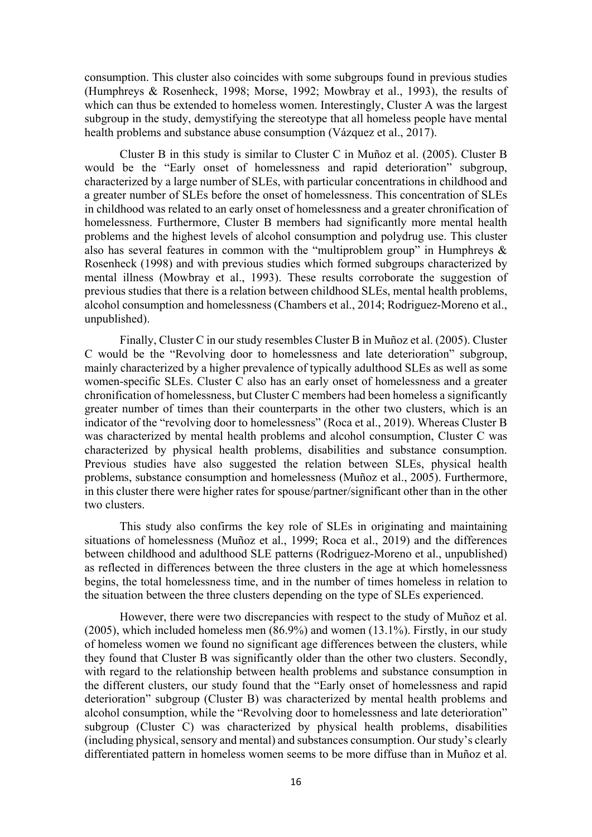consumption. This cluster also coincides with some subgroups found in previous studies (Humphreys & Rosenheck, 1998; Morse, 1992; Mowbray et al., 1993), the results of which can thus be extended to homeless women. Interestingly, Cluster A was the largest subgroup in the study, demystifying the stereotype that all homeless people have mental health problems and substance abuse consumption (Vázquez et al., 2017).

Cluster B in this study is similar to Cluster C in Muñoz et al. (2005). Cluster B would be the "Early onset of homelessness and rapid deterioration" subgroup, characterized by a large number of SLEs, with particular concentrations in childhood and a greater number of SLEs before the onset of homelessness. This concentration of SLEs in childhood was related to an early onset of homelessness and a greater chronification of homelessness. Furthermore, Cluster B members had significantly more mental health problems and the highest levels of alcohol consumption and polydrug use. This cluster also has several features in common with the "multiproblem group" in Humphreys & Rosenheck (1998) and with previous studies which formed subgroups characterized by mental illness (Mowbray et al., 1993). These results corroborate the suggestion of previous studies that there is a relation between childhood SLEs, mental health problems, alcohol consumption and homelessness (Chambers et al., 2014; Rodriguez-Moreno et al., unpublished).

Finally, Cluster C in our study resembles Cluster B in Muñoz et al. (2005). Cluster C would be the "Revolving door to homelessness and late deterioration" subgroup, mainly characterized by a higher prevalence of typically adulthood SLEs as well as some women-specific SLEs. Cluster C also has an early onset of homelessness and a greater chronification of homelessness, but Cluster C members had been homeless a significantly greater number of times than their counterparts in the other two clusters, which is an indicator of the "revolving door to homelessness" (Roca et al., 2019). Whereas Cluster B was characterized by mental health problems and alcohol consumption, Cluster C was characterized by physical health problems, disabilities and substance consumption. Previous studies have also suggested the relation between SLEs, physical health problems, substance consumption and homelessness (Muñoz et al., 2005). Furthermore, in this cluster there were higher rates for spouse/partner/significant other than in the other two clusters.

This study also confirms the key role of SLEs in originating and maintaining situations of homelessness (Muñoz et al., 1999; Roca et al., 2019) and the differences between childhood and adulthood SLE patterns (Rodriguez-Moreno et al., unpublished) as reflected in differences between the three clusters in the age at which homelessness begins, the total homelessness time, and in the number of times homeless in relation to the situation between the three clusters depending on the type of SLEs experienced.

However, there were two discrepancies with respect to the study of Muñoz et al. (2005), which included homeless men (86.9%) and women (13.1%). Firstly, in our study of homeless women we found no significant age differences between the clusters, while they found that Cluster B was significantly older than the other two clusters. Secondly, with regard to the relationship between health problems and substance consumption in the different clusters, our study found that the "Early onset of homelessness and rapid deterioration" subgroup (Cluster B) was characterized by mental health problems and alcohol consumption, while the "Revolving door to homelessness and late deterioration" subgroup (Cluster C) was characterized by physical health problems, disabilities (including physical, sensory and mental) and substances consumption. Our study's clearly differentiated pattern in homeless women seems to be more diffuse than in Muñoz et al.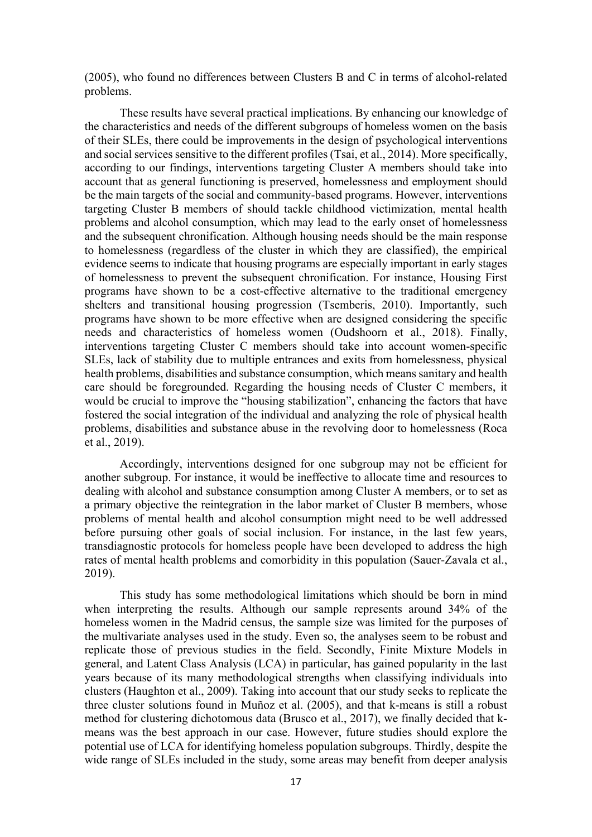(2005), who found no differences between Clusters B and C in terms of alcohol-related problems.

These results have several practical implications. By enhancing our knowledge of the characteristics and needs of the different subgroups of homeless women on the basis of their SLEs, there could be improvements in the design of psychological interventions and social services sensitive to the different profiles (Tsai, et al., 2014). More specifically, according to our findings, interventions targeting Cluster A members should take into account that as general functioning is preserved, homelessness and employment should be the main targets of the social and community-based programs. However, interventions targeting Cluster B members of should tackle childhood victimization, mental health problems and alcohol consumption, which may lead to the early onset of homelessness and the subsequent chronification. Although housing needs should be the main response to homelessness (regardless of the cluster in which they are classified), the empirical evidence seems to indicate that housing programs are especially important in early stages of homelessness to prevent the subsequent chronification. For instance, Housing First programs have shown to be a cost-effective alternative to the traditional emergency shelters and transitional housing progression (Tsemberis, 2010). Importantly, such programs have shown to be more effective when are designed considering the specific needs and characteristics of homeless women (Oudshoorn et al., 2018). Finally, interventions targeting Cluster C members should take into account women-specific SLEs, lack of stability due to multiple entrances and exits from homelessness, physical health problems, disabilities and substance consumption, which means sanitary and health care should be foregrounded. Regarding the housing needs of Cluster C members, it would be crucial to improve the "housing stabilization", enhancing the factors that have fostered the social integration of the individual and analyzing the role of physical health problems, disabilities and substance abuse in the revolving door to homelessness (Roca et al., 2019).

Accordingly, interventions designed for one subgroup may not be efficient for another subgroup. For instance, it would be ineffective to allocate time and resources to dealing with alcohol and substance consumption among Cluster A members, or to set as a primary objective the reintegration in the labor market of Cluster B members, whose problems of mental health and alcohol consumption might need to be well addressed before pursuing other goals of social inclusion. For instance, in the last few years, transdiagnostic protocols for homeless people have been developed to address the high rates of mental health problems and comorbidity in this population (Sauer-Zavala et al., 2019).

This study has some methodological limitations which should be born in mind when interpreting the results. Although our sample represents around 34% of the homeless women in the Madrid census, the sample size was limited for the purposes of the multivariate analyses used in the study. Even so, the analyses seem to be robust and replicate those of previous studies in the field. Secondly, Finite Mixture Models in general, and Latent Class Analysis (LCA) in particular, has gained popularity in the last years because of its many methodological strengths when classifying individuals into clusters (Haughton et al., 2009). Taking into account that our study seeks to replicate the three cluster solutions found in Muñoz et al. (2005), and that k-means is still a robust method for clustering dichotomous data (Brusco et al., 2017), we finally decided that kmeans was the best approach in our case. However, future studies should explore the potential use of LCA for identifying homeless population subgroups. Thirdly, despite the wide range of SLEs included in the study, some areas may benefit from deeper analysis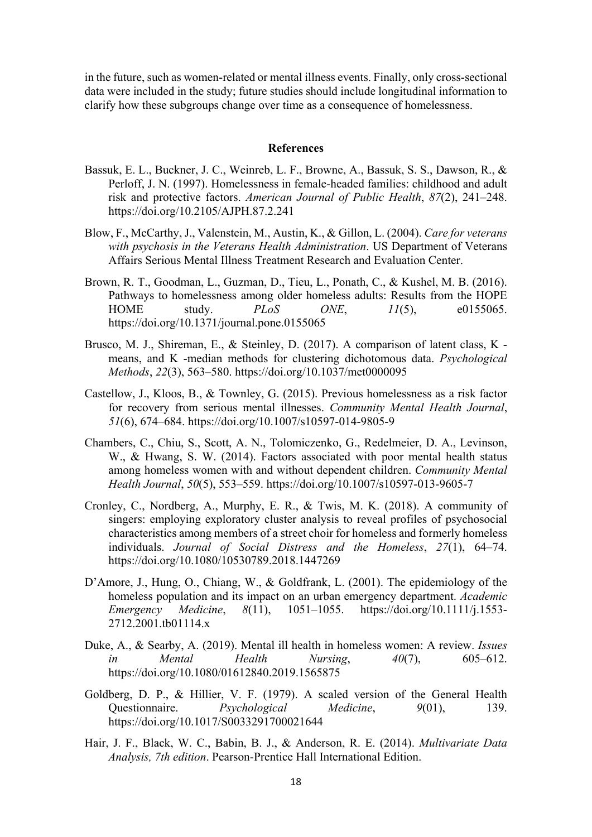in the future, such as women-related or mental illness events. Finally, only cross-sectional data were included in the study; future studies should include longitudinal information to clarify how these subgroups change over time as a consequence of homelessness.

# **References**

- Bassuk, E. L., Buckner, J. C., Weinreb, L. F., Browne, A., Bassuk, S. S., Dawson, R., & Perloff, J. N. (1997). Homelessness in female-headed families: childhood and adult risk and protective factors. *American Journal of Public Health*, *87*(2), 241–248. https://doi.org/10.2105/AJPH.87.2.241
- Blow, F., McCarthy, J., Valenstein, M., Austin, K., & Gillon, L. (2004). *Care for veterans with psychosis in the Veterans Health Administration*. US Department of Veterans Affairs Serious Mental Illness Treatment Research and Evaluation Center.
- Brown, R. T., Goodman, L., Guzman, D., Tieu, L., Ponath, C., & Kushel, M. B. (2016). Pathways to homelessness among older homeless adults: Results from the HOPE HOME study. *PLoS ONE*, *11*(5), e0155065. https://doi.org/10.1371/journal.pone.0155065
- Brusco, M. J., Shireman, E., & Steinley, D. (2017). A comparison of latent class, K means, and K -median methods for clustering dichotomous data. *Psychological Methods*, *22*(3), 563–580. https://doi.org/10.1037/met0000095
- Castellow, J., Kloos, B., & Townley, G. (2015). Previous homelessness as a risk factor for recovery from serious mental illnesses. *Community Mental Health Journal*, *51*(6), 674–684. https://doi.org/10.1007/s10597-014-9805-9
- Chambers, C., Chiu, S., Scott, A. N., Tolomiczenko, G., Redelmeier, D. A., Levinson, W., & Hwang, S. W. (2014). Factors associated with poor mental health status among homeless women with and without dependent children. *Community Mental Health Journal*, *50*(5), 553–559. https://doi.org/10.1007/s10597-013-9605-7
- Cronley, C., Nordberg, A., Murphy, E. R., & Twis, M. K. (2018). A community of singers: employing exploratory cluster analysis to reveal profiles of psychosocial characteristics among members of a street choir for homeless and formerly homeless individuals. *Journal of Social Distress and the Homeless*, *27*(1), 64–74. https://doi.org/10.1080/10530789.2018.1447269
- D'Amore, J., Hung, O., Chiang, W., & Goldfrank, L. (2001). The epidemiology of the homeless population and its impact on an urban emergency department. *Academic Emergency Medicine*, *8*(11), 1051–1055. https://doi.org/10.1111/j.1553- 2712.2001.tb01114.x
- Duke, A., & Searby, A. (2019). Mental ill health in homeless women: A review. *Issues in Mental Health Nursing*, *40*(7), 605–612. https://doi.org/10.1080/01612840.2019.1565875
- Goldberg, D. P., & Hillier, V. F. (1979). A scaled version of the General Health Questionnaire. *Psychological Medicine*, *9*(01), 139. https://doi.org/10.1017/S0033291700021644
- Hair, J. F., Black, W. C., Babin, B. J., & Anderson, R. E. (2014). *Multivariate Data Analysis, 7th edition*. Pearson-Prentice Hall International Edition.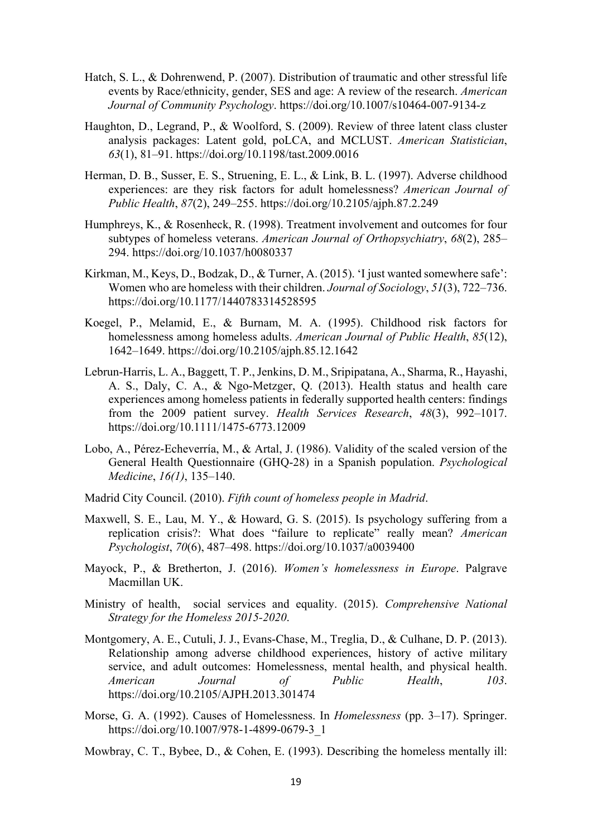- Hatch, S. L., & Dohrenwend, P. (2007). Distribution of traumatic and other stressful life events by Race/ethnicity, gender, SES and age: A review of the research. *American Journal of Community Psychology*. https://doi.org/10.1007/s10464-007-9134-z
- Haughton, D., Legrand, P., & Woolford, S. (2009). Review of three latent class cluster analysis packages: Latent gold, poLCA, and MCLUST. *American Statistician*, *63*(1), 81–91. https://doi.org/10.1198/tast.2009.0016
- Herman, D. B., Susser, E. S., Struening, E. L., & Link, B. L. (1997). Adverse childhood experiences: are they risk factors for adult homelessness? *American Journal of Public Health*, *87*(2), 249–255. https://doi.org/10.2105/ajph.87.2.249
- Humphreys, K., & Rosenheck, R. (1998). Treatment involvement and outcomes for four subtypes of homeless veterans. *American Journal of Orthopsychiatry*, *68*(2), 285– 294. https://doi.org/10.1037/h0080337
- Kirkman, M., Keys, D., Bodzak, D., & Turner, A. (2015). 'I just wanted somewhere safe': Women who are homeless with their children. *Journal of Sociology*, *51*(3), 722–736. https://doi.org/10.1177/1440783314528595
- Koegel, P., Melamid, E., & Burnam, M. A. (1995). Childhood risk factors for homelessness among homeless adults. *American Journal of Public Health*, *85*(12), 1642–1649. https://doi.org/10.2105/ajph.85.12.1642
- Lebrun-Harris, L. A., Baggett, T. P., Jenkins, D. M., Sripipatana, A., Sharma, R., Hayashi, A. S., Daly, C. A., & Ngo-Metzger, Q. (2013). Health status and health care experiences among homeless patients in federally supported health centers: findings from the 2009 patient survey. *Health Services Research*, *48*(3), 992–1017. https://doi.org/10.1111/1475-6773.12009
- Lobo, A., Pérez-Echeverría, M., & Artal, J. (1986). Validity of the scaled version of the General Health Questionnaire (GHQ-28) in a Spanish population. *Psychological Medicine*, *16(1)*, 135–140.
- Madrid City Council. (2010). *Fifth count of homeless people in Madrid*.
- Maxwell, S. E., Lau, M. Y., & Howard, G. S. (2015). Is psychology suffering from a replication crisis?: What does "failure to replicate" really mean? *American Psychologist*, *70*(6), 487–498. https://doi.org/10.1037/a0039400
- Mayock, P., & Bretherton, J. (2016). *Women's homelessness in Europe*. Palgrave Macmillan UK.
- Ministry of health, social services and equality. (2015). *Comprehensive National Strategy for the Homeless 2015-2020*.
- Montgomery, A. E., Cutuli, J. J., Evans-Chase, M., Treglia, D., & Culhane, D. P. (2013). Relationship among adverse childhood experiences, history of active military service, and adult outcomes: Homelessness, mental health, and physical health. *American Journal of Public Health*, *103*. https://doi.org/10.2105/AJPH.2013.301474
- Morse, G. A. (1992). Causes of Homelessness. In *Homelessness* (pp. 3–17). Springer. https://doi.org/10.1007/978-1-4899-0679-3\_1
- Mowbray, C. T., Bybee, D., & Cohen, E. (1993). Describing the homeless mentally ill: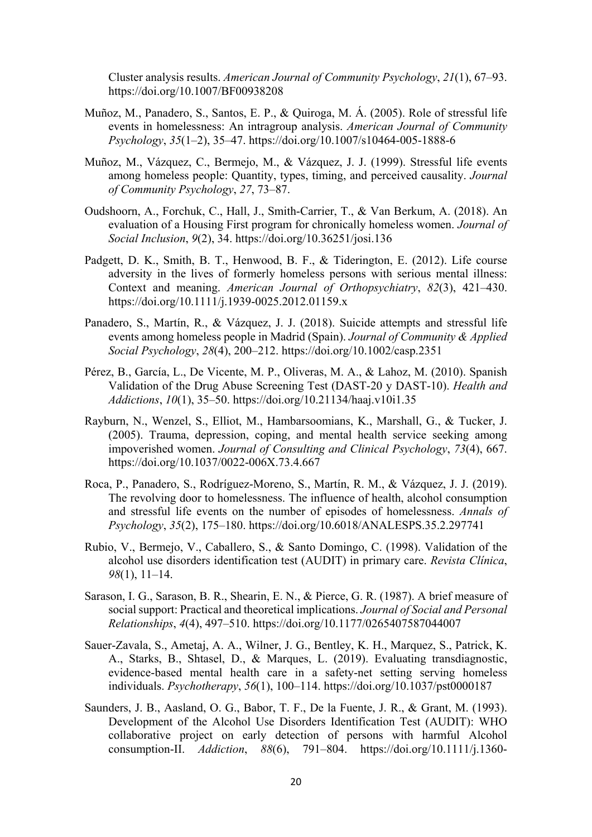Cluster analysis results. *American Journal of Community Psychology*, *21*(1), 67–93. https://doi.org/10.1007/BF00938208

- Muñoz, M., Panadero, S., Santos, E. P., & Quiroga, M. Á. (2005). Role of stressful life events in homelessness: An intragroup analysis. *American Journal of Community Psychology*, *35*(1–2), 35–47. https://doi.org/10.1007/s10464-005-1888-6
- Muñoz, M., Vázquez, C., Bermejo, M., & Vázquez, J. J. (1999). Stressful life events among homeless people: Quantity, types, timing, and perceived causality. *Journal of Community Psychology*, *27*, 73–87.
- Oudshoorn, A., Forchuk, C., Hall, J., Smith-Carrier, T., & Van Berkum, A. (2018). An evaluation of a Housing First program for chronically homeless women. *Journal of Social Inclusion*, *9*(2), 34. https://doi.org/10.36251/josi.136
- Padgett, D. K., Smith, B. T., Henwood, B. F., & Tiderington, E. (2012). Life course adversity in the lives of formerly homeless persons with serious mental illness: Context and meaning. *American Journal of Orthopsychiatry*, *82*(3), 421–430. https://doi.org/10.1111/j.1939-0025.2012.01159.x
- Panadero, S., Martín, R., & Vázquez, J. J. (2018). Suicide attempts and stressful life events among homeless people in Madrid (Spain). *Journal of Community & Applied Social Psychology*, *28*(4), 200–212. https://doi.org/10.1002/casp.2351
- Pérez, B., García, L., De Vicente, M. P., Oliveras, M. A., & Lahoz, M. (2010). Spanish Validation of the Drug Abuse Screening Test (DAST-20 y DAST-10). *Health and Addictions*, *10*(1), 35–50. https://doi.org/10.21134/haaj.v10i1.35
- Rayburn, N., Wenzel, S., Elliot, M., Hambarsoomians, K., Marshall, G., & Tucker, J. (2005). Trauma, depression, coping, and mental health service seeking among impoverished women. *Journal of Consulting and Clinical Psychology*, *73*(4), 667. https://doi.org/10.1037/0022-006X.73.4.667
- Roca, P., Panadero, S., Rodríguez-Moreno, S., Martín, R. M., & Vázquez, J. J. (2019). The revolving door to homelessness. The influence of health, alcohol consumption and stressful life events on the number of episodes of homelessness. *Annals of Psychology*, *35*(2), 175–180. https://doi.org/10.6018/ANALESPS.35.2.297741
- Rubio, V., Bermejo, V., Caballero, S., & Santo Domingo, C. (1998). Validation of the alcohol use disorders identification test (AUDIT) in primary care. *Revista Clínica*, *98*(1), 11–14.
- Sarason, I. G., Sarason, B. R., Shearin, E. N., & Pierce, G. R. (1987). A brief measure of social support: Practical and theoretical implications. *Journal of Social and Personal Relationships*, *4*(4), 497–510. https://doi.org/10.1177/0265407587044007
- Sauer-Zavala, S., Ametaj, A. A., Wilner, J. G., Bentley, K. H., Marquez, S., Patrick, K. A., Starks, B., Shtasel, D., & Marques, L. (2019). Evaluating transdiagnostic, evidence-based mental health care in a safety-net setting serving homeless individuals. *Psychotherapy*, *56*(1), 100–114. https://doi.org/10.1037/pst0000187
- Saunders, J. B., Aasland, O. G., Babor, T. F., De la Fuente, J. R., & Grant, M. (1993). Development of the Alcohol Use Disorders Identification Test (AUDIT): WHO collaborative project on early detection of persons with harmful Alcohol consumption‐II. *Addiction*, *88*(6), 791–804. https://doi.org/10.1111/j.1360-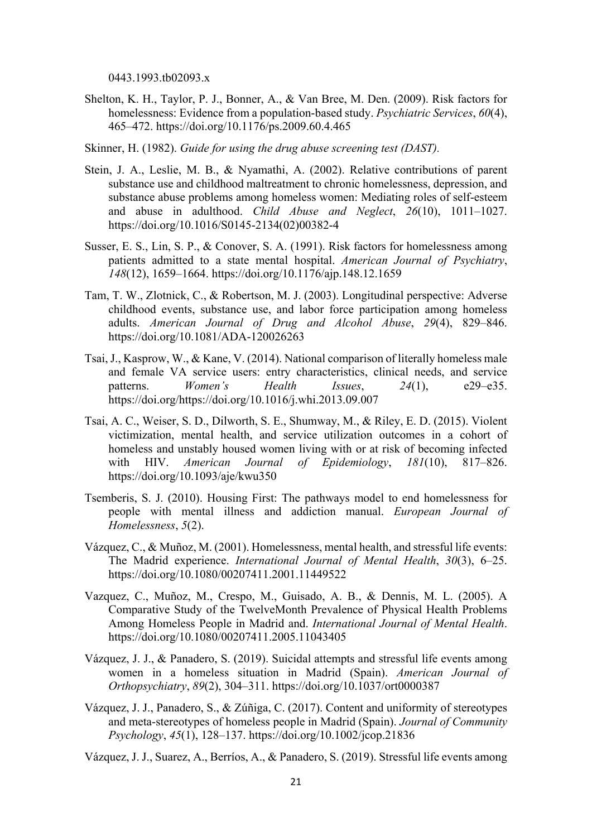0443.1993.tb02093.x

Shelton, K. H., Taylor, P. J., Bonner, A., & Van Bree, M. Den. (2009). Risk factors for homelessness: Evidence from a population-based study. *Psychiatric Services*, *60*(4), 465–472. https://doi.org/10.1176/ps.2009.60.4.465

Skinner, H. (1982). *Guide for using the drug abuse screening test (DAST).*

- Stein, J. A., Leslie, M. B., & Nyamathi, A. (2002). Relative contributions of parent substance use and childhood maltreatment to chronic homelessness, depression, and substance abuse problems among homeless women: Mediating roles of self-esteem and abuse in adulthood. *Child Abuse and Neglect*, *26*(10), 1011–1027. https://doi.org/10.1016/S0145-2134(02)00382-4
- Susser, E. S., Lin, S. P., & Conover, S. A. (1991). Risk factors for homelessness among patients admitted to a state mental hospital. *American Journal of Psychiatry*, *148*(12), 1659–1664. https://doi.org/10.1176/ajp.148.12.1659
- Tam, T. W., Zlotnick, C., & Robertson, M. J. (2003). Longitudinal perspective: Adverse childhood events, substance use, and labor force participation among homeless adults. *American Journal of Drug and Alcohol Abuse*, *29*(4), 829–846. https://doi.org/10.1081/ADA-120026263
- Tsai, J., Kasprow, W., & Kane, V. (2014). National comparison of literally homeless male and female VA service users: entry characteristics, clinical needs, and service patterns. *Women's Health Issues*, *24*(1), e29–e35. https://doi.org/https://doi.org/10.1016/j.whi.2013.09.007
- Tsai, A. C., Weiser, S. D., Dilworth, S. E., Shumway, M., & Riley, E. D. (2015). Violent victimization, mental health, and service utilization outcomes in a cohort of homeless and unstably housed women living with or at risk of becoming infected with HIV. *American Journal of Epidemiology*, *181*(10), 817–826. https://doi.org/10.1093/aje/kwu350
- Tsemberis, S. J. (2010). Housing First: The pathways model to end homelessness for people with mental illness and addiction manual. *European Journal of Homelessness*, *5*(2).
- Vázquez, C., & Muñoz, M. (2001). Homelessness, mental health, and stressful life events: The Madrid experience. *International Journal of Mental Health*, *30*(3), 6–25. https://doi.org/10.1080/00207411.2001.11449522
- Vazquez, C., Muñoz, M., Crespo, M., Guisado, A. B., & Dennis, M. L. (2005). A Comparative Study of the TwelveMonth Prevalence of Physical Health Problems Among Homeless People in Madrid and. *International Journal of Mental Health*. https://doi.org/10.1080/00207411.2005.11043405
- Vázquez, J. J., & Panadero, S. (2019). Suicidal attempts and stressful life events among women in a homeless situation in Madrid (Spain). *American Journal of Orthopsychiatry*, *89*(2), 304–311. https://doi.org/10.1037/ort0000387
- Vázquez, J. J., Panadero, S., & Zúñiga, C. (2017). Content and uniformity of stereotypes and meta‐stereotypes of homeless people in Madrid (Spain). *Journal of Community Psychology*, *45*(1), 128–137. https://doi.org/10.1002/jcop.21836

Vázquez, J. J., Suarez, A., Berríos, A., & Panadero, S. (2019). Stressful life events among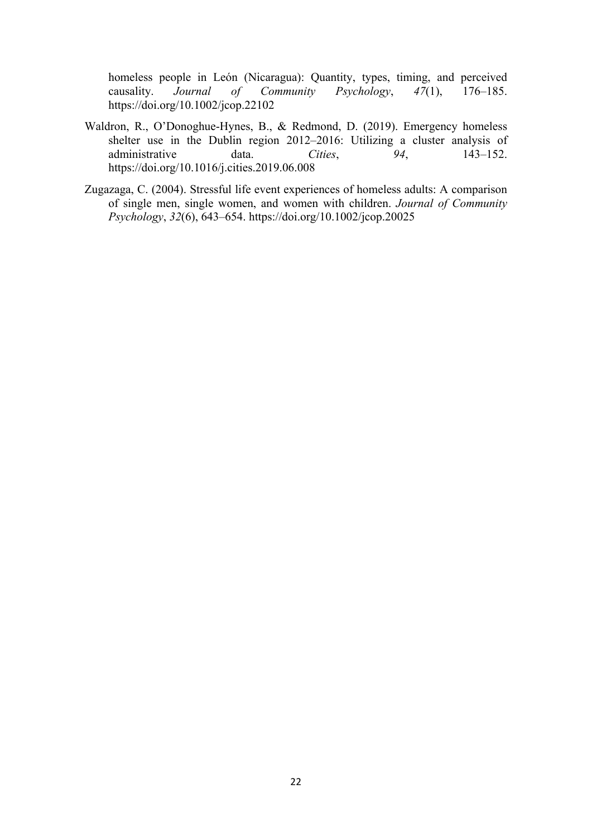homeless people in León (Nicaragua): Quantity, types, timing, and perceived causality. *Journal of Community Psychology*, *47*(1), 176–185. https://doi.org/10.1002/jcop.22102

- Waldron, R., O'Donoghue-Hynes, B., & Redmond, D. (2019). Emergency homeless shelter use in the Dublin region 2012–2016: Utilizing a cluster analysis of administrative data. *Cities*, 94, 143–152. https://doi.org/10.1016/j.cities.2019.06.008
- Zugazaga, C. (2004). Stressful life event experiences of homeless adults: A comparison of single men, single women, and women with children. *Journal of Community Psychology*, *32*(6), 643–654. https://doi.org/10.1002/jcop.20025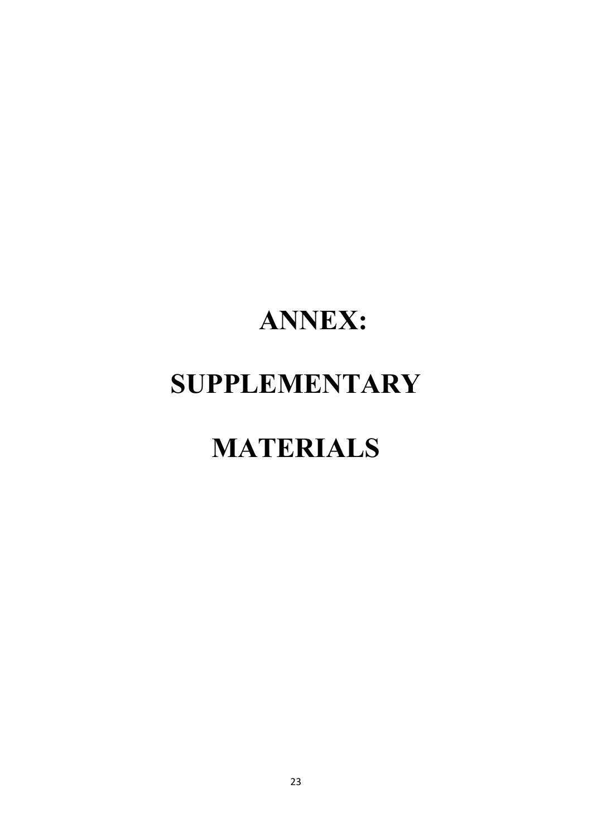# **ANNEX: SUPPLEMENTARY**

# **MATERIALS**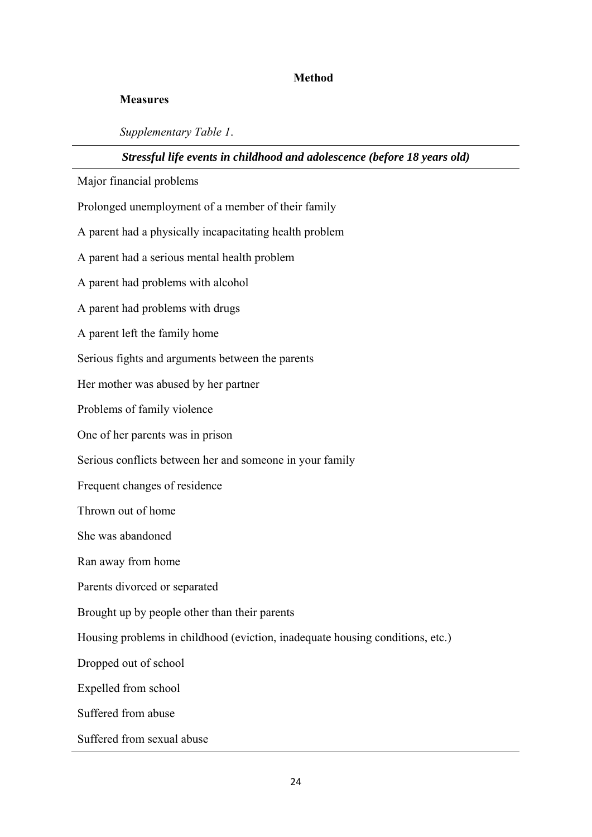# **Method**

# **Measures**

*Supplementary Table 1*.

# *Stressful life events in childhood and adolescence (before 18 years old)*

Major financial problems

Prolonged unemployment of a member of their family

A parent had a physically incapacitating health problem

A parent had a serious mental health problem

A parent had problems with alcohol

A parent had problems with drugs

A parent left the family home

Serious fights and arguments between the parents

Her mother was abused by her partner

Problems of family violence

One of her parents was in prison

Serious conflicts between her and someone in your family

Frequent changes of residence

Thrown out of home

She was abandoned

Ran away from home

Parents divorced or separated

Brought up by people other than their parents

Housing problems in childhood (eviction, inadequate housing conditions, etc.)

Dropped out of school

Expelled from school

Suffered from abuse

Suffered from sexual abuse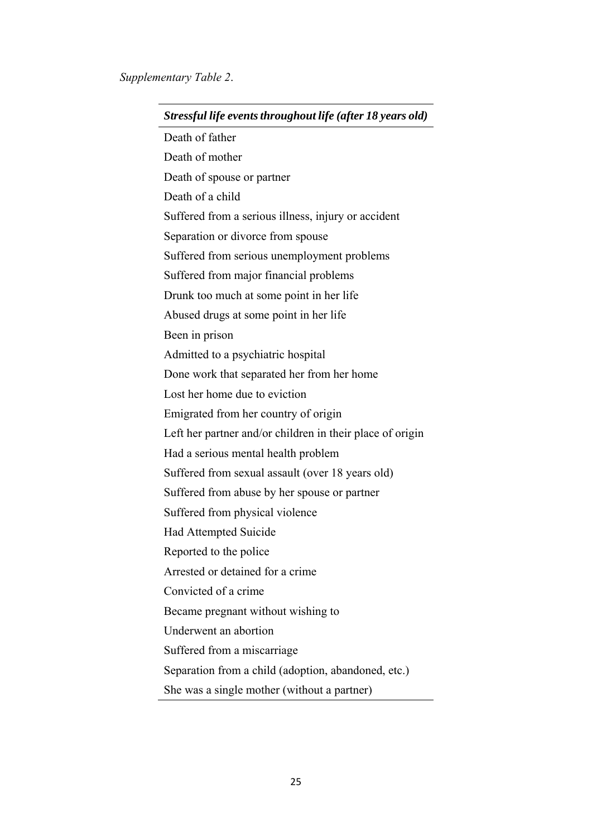| Stressful life events throughout life (after 18 years old) |
|------------------------------------------------------------|
| Death of father                                            |
| Death of mother                                            |
| Death of spouse or partner                                 |
| Death of a child                                           |
| Suffered from a serious illness, injury or accident        |
| Separation or divorce from spouse                          |
| Suffered from serious unemployment problems                |
| Suffered from major financial problems                     |
| Drunk too much at some point in her life                   |
| Abused drugs at some point in her life                     |
| Been in prison                                             |
| Admitted to a psychiatric hospital                         |
| Done work that separated her from her home                 |
| Lost her home due to eviction                              |
| Emigrated from her country of origin                       |
| Left her partner and/or children in their place of origin  |
| Had a serious mental health problem                        |
| Suffered from sexual assault (over 18 years old)           |
| Suffered from abuse by her spouse or partner               |
| Suffered from physical violence                            |
| Had Attempted Suicide                                      |
| Reported to the police                                     |
| Arrested or detained for a crime                           |
| Convicted of a crime                                       |
| Became pregnant without wishing to                         |
| Underwent an abortion                                      |
| Suffered from a miscarriage                                |
| Separation from a child (adoption, abandoned, etc.)        |
| She was a single mother (without a partner)                |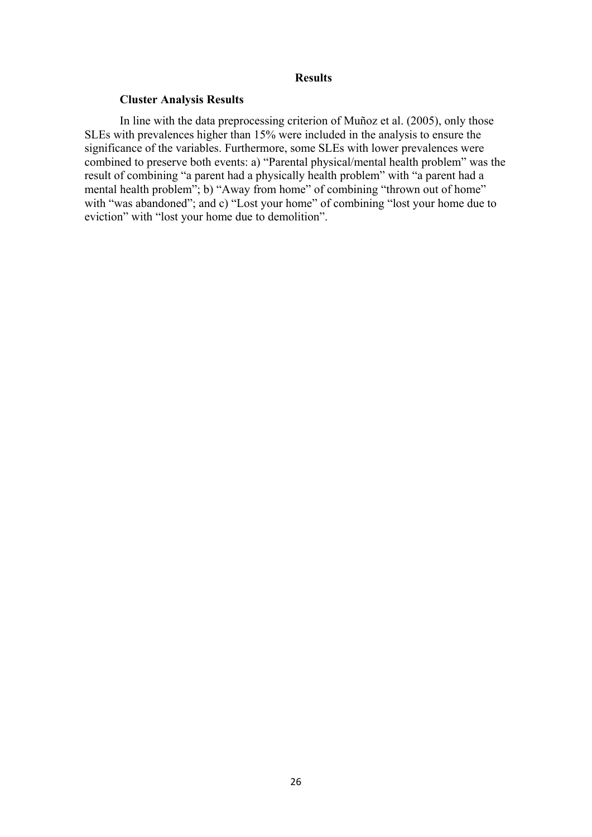# **Results**

# **Cluster Analysis Results**

In line with the data preprocessing criterion of Muñoz et al. (2005), only those SLEs with prevalences higher than 15% were included in the analysis to ensure the significance of the variables. Furthermore, some SLEs with lower prevalences were combined to preserve both events: a) "Parental physical/mental health problem" was the result of combining "a parent had a physically health problem" with "a parent had a mental health problem"; b) "Away from home" of combining "thrown out of home" with "was abandoned"; and c) "Lost your home" of combining "lost your home due to eviction" with "lost your home due to demolition".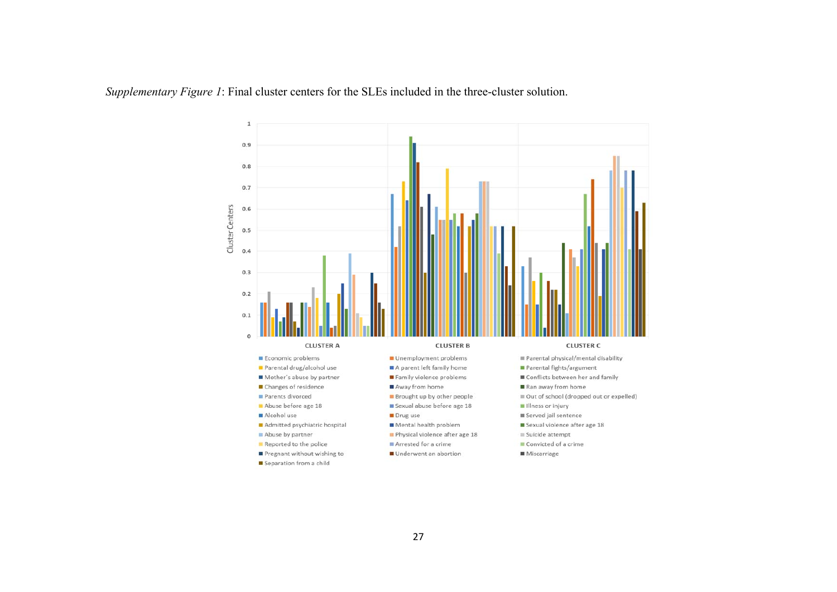*Supplementary Figure 1*: Final cluster centers for the SLEs included in the three-cluster solution.

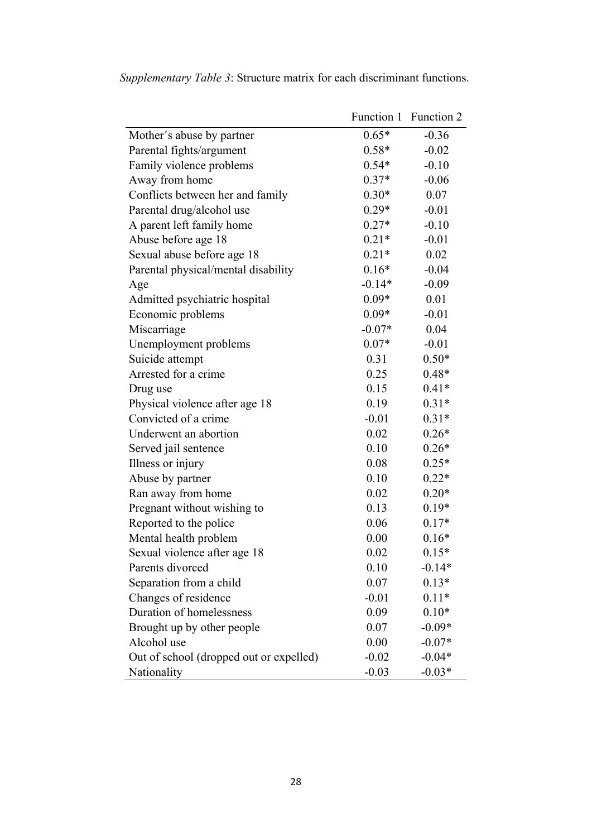|                                         |          | Function 1 Function 2 |
|-----------------------------------------|----------|-----------------------|
| Mother's abuse by partner               | $0.65*$  | $-0.36$               |
| Parental fights/argument                | $0.58*$  | $-0.02$               |
| Family violence problems                | $0.54*$  | $-0.10$               |
| Away from home                          | $0.37*$  | $-0.06$               |
| Conflicts between her and family        | $0.30*$  | 0.07                  |
| Parental drug/alcohol use               | $0.29*$  | $-0.01$               |
| A parent left family home               | $0.27*$  | $-0.10$               |
| Abuse before age 18                     | $0.21*$  | $-0.01$               |
| Sexual abuse before age 18              | $0.21*$  | 0.02                  |
| Parental physical/mental disability     | $0.16*$  | $-0.04$               |
| Age                                     | $-0.14*$ | $-0.09$               |
| Admitted psychiatric hospital           | $0.09*$  | 0.01                  |
| Economic problems                       | $0.09*$  | $-0.01$               |
| Miscarriage                             | $-0.07*$ | 0.04                  |
| Unemployment problems                   | $0.07*$  | $-0.01$               |
| Suicide attempt                         | 0.31     | $0.50*$               |
| Arrested for a crime                    | 0.25     | $0.48*$               |
| Drug use                                | 0.15     | $0.41*$               |
| Physical violence after age 18          | 0.19     | $0.31*$               |
| Convicted of a crime                    | $-0.01$  | $0.31*$               |
| Underwent an abortion                   | 0.02     | $0.26*$               |
| Served jail sentence                    | 0.10     | $0.26*$               |
| Illness or injury                       | 0.08     | $0.25*$               |
| Abuse by partner                        | 0.10     | $0.22*$               |
| Ran away from home                      | 0.02     | $0.20*$               |
| Pregnant without wishing to             | 0.13     | $0.19*$               |
| Reported to the police                  | 0.06     | $0.17*$               |
| Mental health problem                   | 0.00     | $0.16*$               |
| Sexual violence after age 18            | 0.02     | $0.15*$               |
| Parents divorced                        | 0.10     | $-0.14*$              |
| Separation from a child                 | 0.07     | $0.13*$               |
| Changes of residence                    | $-0.01$  | $0.11*$               |
| Duration of homelessness                | 0.09     | $0.10*$               |
| Brought up by other people              | 0.07     | $-0.09*$              |
| Alcohol use                             | 0.00     | $-0.07*$              |
| Out of school (dropped out or expelled) | $-0.02$  | $-0.04*$              |
| Nationality                             | $-0.03$  | $-0.03*$              |

*Supplementary Table 3*: Structure matrix for each discriminant functions.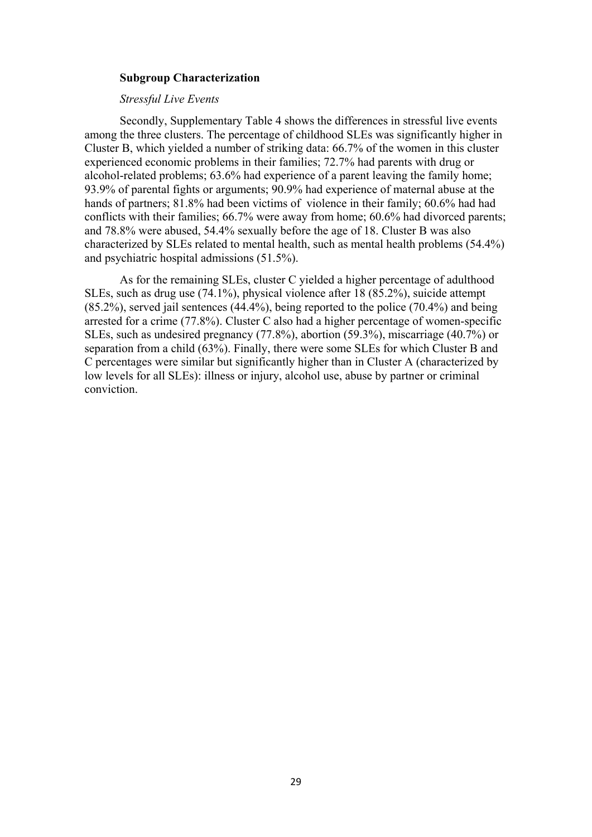# **Subgroup Characterization**

# *Stressful Live Events*

Secondly, Supplementary Table 4 shows the differences in stressful live events among the three clusters. The percentage of childhood SLEs was significantly higher in Cluster B, which yielded a number of striking data: 66.7% of the women in this cluster experienced economic problems in their families; 72.7% had parents with drug or alcohol-related problems; 63.6% had experience of a parent leaving the family home; 93.9% of parental fights or arguments; 90.9% had experience of maternal abuse at the hands of partners; 81.8% had been victims of violence in their family; 60.6% had had conflicts with their families; 66.7% were away from home; 60.6% had divorced parents; and 78.8% were abused, 54.4% sexually before the age of 18. Cluster B was also characterized by SLEs related to mental health, such as mental health problems (54.4%) and psychiatric hospital admissions (51.5%).

As for the remaining SLEs, cluster C yielded a higher percentage of adulthood SLEs, such as drug use (74.1%), physical violence after 18 (85.2%), suicide attempt (85.2%), served jail sentences (44.4%), being reported to the police (70.4%) and being arrested for a crime (77.8%). Cluster C also had a higher percentage of women-specific SLEs, such as undesired pregnancy (77.8%), abortion (59.3%), miscarriage (40.7%) or separation from a child (63%). Finally, there were some SLEs for which Cluster B and C percentages were similar but significantly higher than in Cluster A (characterized by low levels for all SLEs): illness or injury, alcohol use, abuse by partner or criminal conviction.